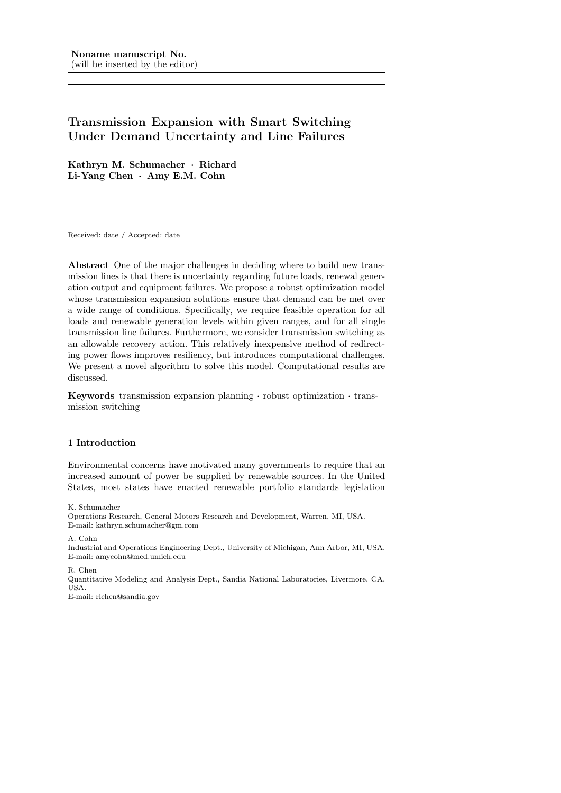# Transmission Expansion with Smart Switching Under Demand Uncertainty and Line Failures

Kathryn M. Schumacher · Richard Li-Yang Chen · Amy E.M. Cohn

Received: date / Accepted: date

Abstract One of the major challenges in deciding where to build new transmission lines is that there is uncertainty regarding future loads, renewal generation output and equipment failures. We propose a robust optimization model whose transmission expansion solutions ensure that demand can be met over a wide range of conditions. Specifically, we require feasible operation for all loads and renewable generation levels within given ranges, and for all single transmission line failures. Furthermore, we consider transmission switching as an allowable recovery action. This relatively inexpensive method of redirecting power flows improves resiliency, but introduces computational challenges. We present a novel algorithm to solve this model. Computational results are discussed.

Keywords transmission expansion planning  $\cdot$  robust optimization  $\cdot$  transmission switching

# 1 Introduction

Environmental concerns have motivated many governments to require that an increased amount of power be supplied by renewable sources. In the United States, most states have enacted renewable portfolio standards legislation

K. Schumacher

A. Cohn

R. Chen

Quantitative Modeling and Analysis Dept., Sandia National Laboratories, Livermore, CA, USA.

E-mail: rlchen@sandia.gov

Operations Research, General Motors Research and Development, Warren, MI, USA. E-mail: kathryn.schumacher@gm.com

Industrial and Operations Engineering Dept., University of Michigan, Ann Arbor, MI, USA. E-mail: amycohn@med.umich.edu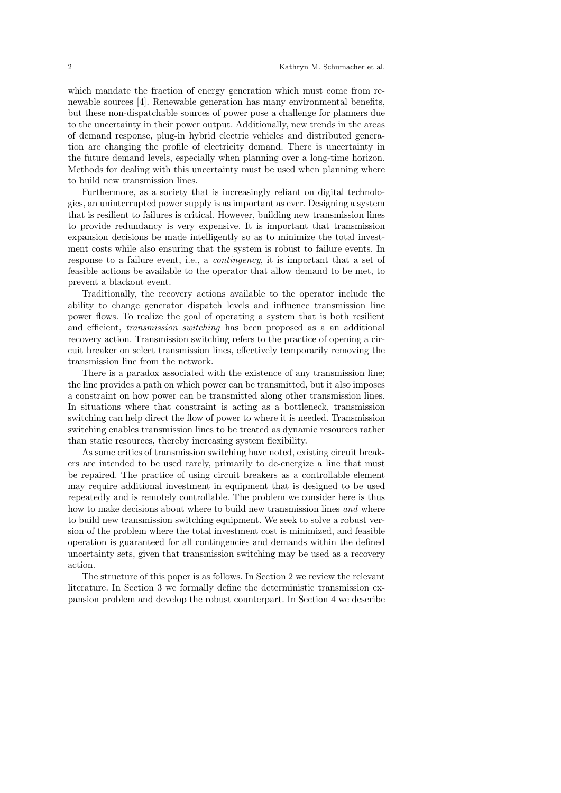which mandate the fraction of energy generation which must come from renewable sources [4]. Renewable generation has many environmental benefits, but these non-dispatchable sources of power pose a challenge for planners due to the uncertainty in their power output. Additionally, new trends in the areas of demand response, plug-in hybrid electric vehicles and distributed generation are changing the profile of electricity demand. There is uncertainty in the future demand levels, especially when planning over a long-time horizon. Methods for dealing with this uncertainty must be used when planning where to build new transmission lines.

Furthermore, as a society that is increasingly reliant on digital technologies, an uninterrupted power supply is as important as ever. Designing a system that is resilient to failures is critical. However, building new transmission lines to provide redundancy is very expensive. It is important that transmission expansion decisions be made intelligently so as to minimize the total investment costs while also ensuring that the system is robust to failure events. In response to a failure event, i.e., a contingency, it is important that a set of feasible actions be available to the operator that allow demand to be met, to prevent a blackout event.

Traditionally, the recovery actions available to the operator include the ability to change generator dispatch levels and influence transmission line power flows. To realize the goal of operating a system that is both resilient and efficient, transmission switching has been proposed as a an additional recovery action. Transmission switching refers to the practice of opening a circuit breaker on select transmission lines, effectively temporarily removing the transmission line from the network.

There is a paradox associated with the existence of any transmission line; the line provides a path on which power can be transmitted, but it also imposes a constraint on how power can be transmitted along other transmission lines. In situations where that constraint is acting as a bottleneck, transmission switching can help direct the flow of power to where it is needed. Transmission switching enables transmission lines to be treated as dynamic resources rather than static resources, thereby increasing system flexibility.

As some critics of transmission switching have noted, existing circuit breakers are intended to be used rarely, primarily to de-energize a line that must be repaired. The practice of using circuit breakers as a controllable element may require additional investment in equipment that is designed to be used repeatedly and is remotely controllable. The problem we consider here is thus how to make decisions about where to build new transmission lines and where to build new transmission switching equipment. We seek to solve a robust version of the problem where the total investment cost is minimized, and feasible operation is guaranteed for all contingencies and demands within the defined uncertainty sets, given that transmission switching may be used as a recovery action.

The structure of this paper is as follows. In Section 2 we review the relevant literature. In Section 3 we formally define the deterministic transmission expansion problem and develop the robust counterpart. In Section 4 we describe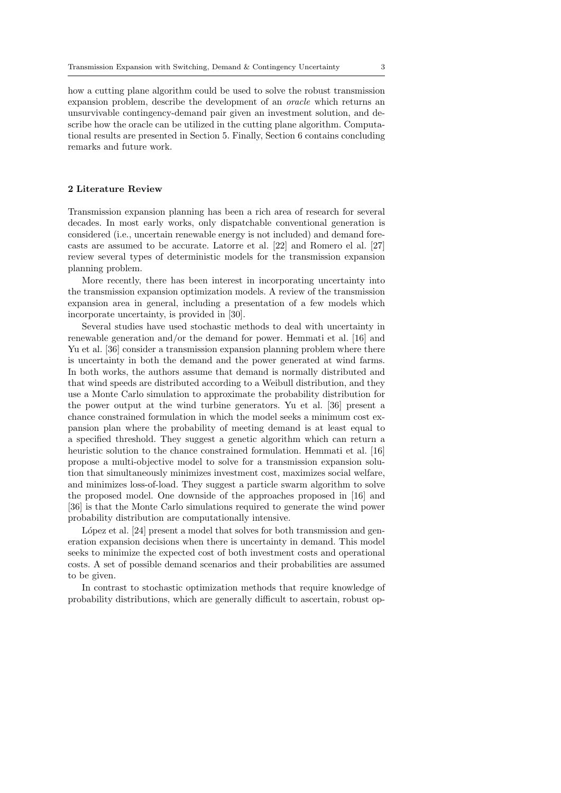how a cutting plane algorithm could be used to solve the robust transmission

expansion problem, describe the development of an *oracle* which returns an unsurvivable contingency-demand pair given an investment solution, and describe how the oracle can be utilized in the cutting plane algorithm. Computational results are presented in Section 5. Finally, Section 6 contains concluding remarks and future work.

# 2 Literature Review

Transmission expansion planning has been a rich area of research for several decades. In most early works, only dispatchable conventional generation is considered (i.e., uncertain renewable energy is not included) and demand forecasts are assumed to be accurate. Latorre et al. [22] and Romero el al. [27] review several types of deterministic models for the transmission expansion planning problem.

More recently, there has been interest in incorporating uncertainty into the transmission expansion optimization models. A review of the transmission expansion area in general, including a presentation of a few models which incorporate uncertainty, is provided in [30].

Several studies have used stochastic methods to deal with uncertainty in renewable generation and/or the demand for power. Hemmati et al. [16] and Yu et al. [36] consider a transmission expansion planning problem where there is uncertainty in both the demand and the power generated at wind farms. In both works, the authors assume that demand is normally distributed and that wind speeds are distributed according to a Weibull distribution, and they use a Monte Carlo simulation to approximate the probability distribution for the power output at the wind turbine generators. Yu et al. [36] present a chance constrained formulation in which the model seeks a minimum cost expansion plan where the probability of meeting demand is at least equal to a specified threshold. They suggest a genetic algorithm which can return a heuristic solution to the chance constrained formulation. Hemmati et al. [16] propose a multi-objective model to solve for a transmission expansion solution that simultaneously minimizes investment cost, maximizes social welfare, and minimizes loss-of-load. They suggest a particle swarm algorithm to solve the proposed model. One downside of the approaches proposed in [16] and [36] is that the Monte Carlo simulations required to generate the wind power probability distribution are computationally intensive.

López et al. [24] present a model that solves for both transmission and generation expansion decisions when there is uncertainty in demand. This model seeks to minimize the expected cost of both investment costs and operational costs. A set of possible demand scenarios and their probabilities are assumed to be given.

In contrast to stochastic optimization methods that require knowledge of probability distributions, which are generally difficult to ascertain, robust op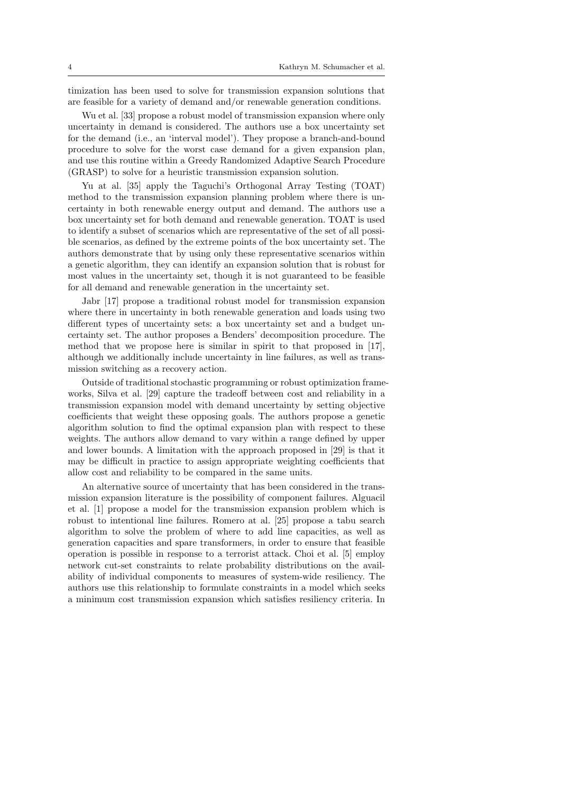timization has been used to solve for transmission expansion solutions that are feasible for a variety of demand and/or renewable generation conditions.

Wu et al. [33] propose a robust model of transmission expansion where only uncertainty in demand is considered. The authors use a box uncertainty set for the demand (i.e., an 'interval model'). They propose a branch-and-bound procedure to solve for the worst case demand for a given expansion plan, and use this routine within a Greedy Randomized Adaptive Search Procedure (GRASP) to solve for a heuristic transmission expansion solution.

Yu at al. [35] apply the Taguchi's Orthogonal Array Testing (TOAT) method to the transmission expansion planning problem where there is uncertainty in both renewable energy output and demand. The authors use a box uncertainty set for both demand and renewable generation. TOAT is used to identify a subset of scenarios which are representative of the set of all possible scenarios, as defined by the extreme points of the box uncertainty set. The authors demonstrate that by using only these representative scenarios within a genetic algorithm, they can identify an expansion solution that is robust for most values in the uncertainty set, though it is not guaranteed to be feasible for all demand and renewable generation in the uncertainty set.

Jabr [17] propose a traditional robust model for transmission expansion where there in uncertainty in both renewable generation and loads using two different types of uncertainty sets: a box uncertainty set and a budget uncertainty set. The author proposes a Benders' decomposition procedure. The method that we propose here is similar in spirit to that proposed in [17], although we additionally include uncertainty in line failures, as well as transmission switching as a recovery action.

Outside of traditional stochastic programming or robust optimization frameworks, Silva et al. [29] capture the tradeoff between cost and reliability in a transmission expansion model with demand uncertainty by setting objective coefficients that weight these opposing goals. The authors propose a genetic algorithm solution to find the optimal expansion plan with respect to these weights. The authors allow demand to vary within a range defined by upper and lower bounds. A limitation with the approach proposed in [29] is that it may be difficult in practice to assign appropriate weighting coefficients that allow cost and reliability to be compared in the same units.

An alternative source of uncertainty that has been considered in the transmission expansion literature is the possibility of component failures. Alguacil et al. [1] propose a model for the transmission expansion problem which is robust to intentional line failures. Romero at al. [25] propose a tabu search algorithm to solve the problem of where to add line capacities, as well as generation capacities and spare transformers, in order to ensure that feasible operation is possible in response to a terrorist attack. Choi et al. [5] employ network cut-set constraints to relate probability distributions on the availability of individual components to measures of system-wide resiliency. The authors use this relationship to formulate constraints in a model which seeks a minimum cost transmission expansion which satisfies resiliency criteria. In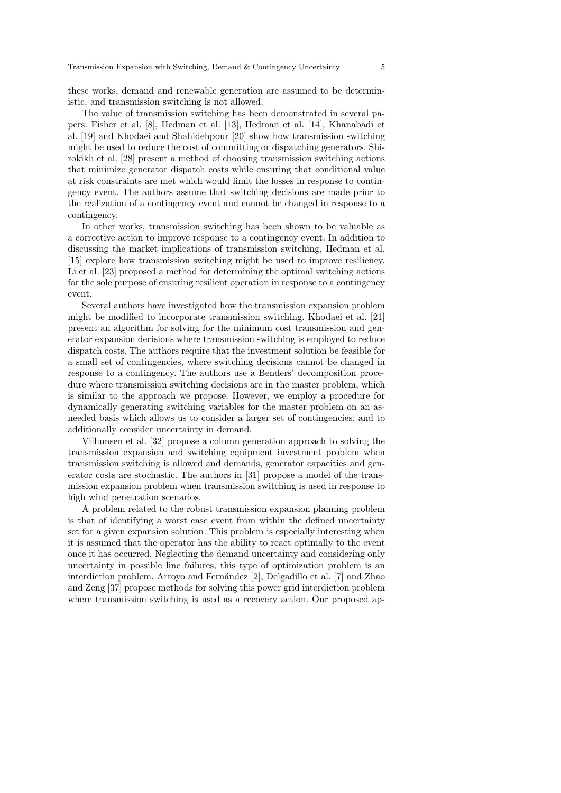these works, demand and renewable generation are assumed to be deterministic, and transmission switching is not allowed.

The value of transmission switching has been demonstrated in several papers. Fisher et al. [8], Hedman et al. [13], Hedman et al. [14], Khanabadi et al. [19] and Khodaei and Shahidehpour [20] show how transmission switching might be used to reduce the cost of committing or dispatching generators. Shirokikh et al. [28] present a method of choosing transmission switching actions that minimize generator dispatch costs while ensuring that conditional value at risk constraints are met which would limit the losses in response to contingency event. The authors assume that switching decisions are made prior to the realization of a contingency event and cannot be changed in response to a contingency.

In other works, transmission switching has been shown to be valuable as a corrective action to improve response to a contingency event. In addition to discussing the market implications of transmission switching, Hedman et al. [15] explore how transmission switching might be used to improve resiliency. Li et al. [23] proposed a method for determining the optimal switching actions for the sole purpose of ensuring resilient operation in response to a contingency event.

Several authors have investigated how the transmission expansion problem might be modified to incorporate transmission switching. Khodaei et al. [21] present an algorithm for solving for the minimum cost transmission and generator expansion decisions where transmission switching is employed to reduce dispatch costs. The authors require that the investment solution be feasible for a small set of contingencies, where switching decisions cannot be changed in response to a contingency. The authors use a Benders' decomposition procedure where transmission switching decisions are in the master problem, which is similar to the approach we propose. However, we employ a procedure for dynamically generating switching variables for the master problem on an asneeded basis which allows us to consider a larger set of contingencies, and to additionally consider uncertainty in demand.

Villumsen et al. [32] propose a column generation approach to solving the transmission expansion and switching equipment investment problem when transmission switching is allowed and demands, generator capacities and generator costs are stochastic. The authors in [31] propose a model of the transmission expansion problem when transmission switching is used in response to high wind penetration scenarios.

A problem related to the robust transmission expansion planning problem is that of identifying a worst case event from within the defined uncertainty set for a given expansion solution. This problem is especially interesting when it is assumed that the operator has the ability to react optimally to the event once it has occurred. Neglecting the demand uncertainty and considering only uncertainty in possible line failures, this type of optimization problem is an interdiction problem. Arroyo and Fernández [2], Delgadillo et al. [7] and Zhao and Zeng [37] propose methods for solving this power grid interdiction problem where transmission switching is used as a recovery action. Our proposed ap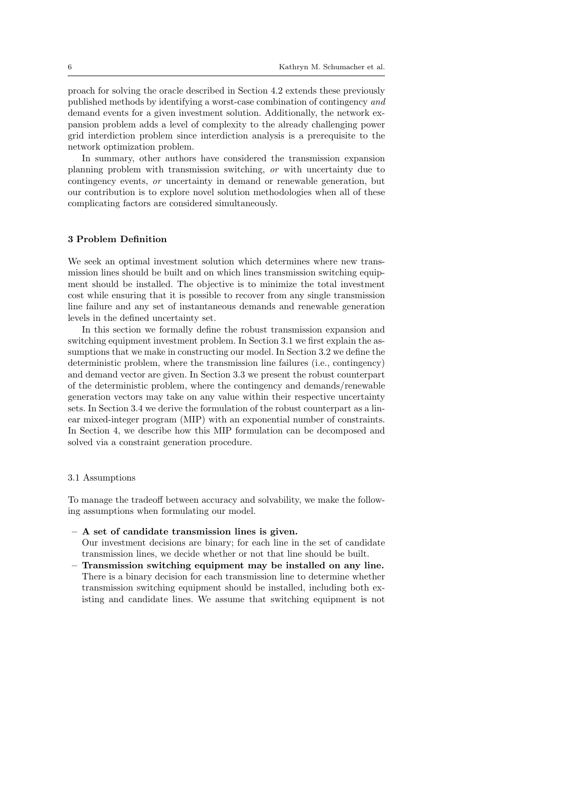proach for solving the oracle described in Section 4.2 extends these previously published methods by identifying a worst-case combination of contingency and demand events for a given investment solution. Additionally, the network expansion problem adds a level of complexity to the already challenging power grid interdiction problem since interdiction analysis is a prerequisite to the network optimization problem.

In summary, other authors have considered the transmission expansion planning problem with transmission switching, or with uncertainty due to contingency events, or uncertainty in demand or renewable generation, but our contribution is to explore novel solution methodologies when all of these complicating factors are considered simultaneously.

# 3 Problem Definition

We seek an optimal investment solution which determines where new transmission lines should be built and on which lines transmission switching equipment should be installed. The objective is to minimize the total investment cost while ensuring that it is possible to recover from any single transmission line failure and any set of instantaneous demands and renewable generation levels in the defined uncertainty set.

In this section we formally define the robust transmission expansion and switching equipment investment problem. In Section 3.1 we first explain the assumptions that we make in constructing our model. In Section 3.2 we define the deterministic problem, where the transmission line failures (i.e., contingency) and demand vector are given. In Section 3.3 we present the robust counterpart of the deterministic problem, where the contingency and demands/renewable generation vectors may take on any value within their respective uncertainty sets. In Section 3.4 we derive the formulation of the robust counterpart as a linear mixed-integer program (MIP) with an exponential number of constraints. In Section 4, we describe how this MIP formulation can be decomposed and solved via a constraint generation procedure.

# 3.1 Assumptions

To manage the tradeoff between accuracy and solvability, we make the following assumptions when formulating our model.

- A set of candidate transmission lines is given.
- Our investment decisions are binary; for each line in the set of candidate transmission lines, we decide whether or not that line should be built.
- Transmission switching equipment may be installed on any line. There is a binary decision for each transmission line to determine whether transmission switching equipment should be installed, including both existing and candidate lines. We assume that switching equipment is not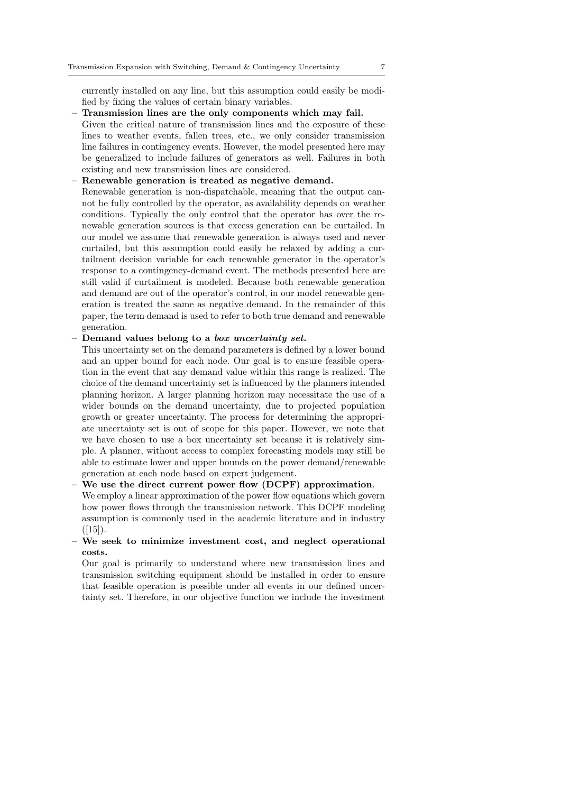currently installed on any line, but this assumption could easily be modified by fixing the values of certain binary variables.

– Transmission lines are the only components which may fail. Given the critical nature of transmission lines and the exposure of these lines to weather events, fallen trees, etc., we only consider transmission line failures in contingency events. However, the model presented here may be generalized to include failures of generators as well. Failures in both existing and new transmission lines are considered.

# – Renewable generation is treated as negative demand.

Renewable generation is non-dispatchable, meaning that the output cannot be fully controlled by the operator, as availability depends on weather conditions. Typically the only control that the operator has over the renewable generation sources is that excess generation can be curtailed. In our model we assume that renewable generation is always used and never curtailed, but this assumption could easily be relaxed by adding a curtailment decision variable for each renewable generator in the operator's response to a contingency-demand event. The methods presented here are still valid if curtailment is modeled. Because both renewable generation and demand are out of the operator's control, in our model renewable generation is treated the same as negative demand. In the remainder of this paper, the term demand is used to refer to both true demand and renewable generation.

# – Demand values belong to a box uncertainty set.

This uncertainty set on the demand parameters is defined by a lower bound and an upper bound for each node. Our goal is to ensure feasible operation in the event that any demand value within this range is realized. The choice of the demand uncertainty set is influenced by the planners intended planning horizon. A larger planning horizon may necessitate the use of a wider bounds on the demand uncertainty, due to projected population growth or greater uncertainty. The process for determining the appropriate uncertainty set is out of scope for this paper. However, we note that we have chosen to use a box uncertainty set because it is relatively simple. A planner, without access to complex forecasting models may still be able to estimate lower and upper bounds on the power demand/renewable generation at each node based on expert judgement.

# We use the direct current power flow (DCPF) approximation.

We employ a linear approximation of the power flow equations which govern how power flows through the transmission network. This DCPF modeling assumption is commonly used in the academic literature and in industry  $([15]).$ 

# – We seek to minimize investment cost, and neglect operational costs.

Our goal is primarily to understand where new transmission lines and transmission switching equipment should be installed in order to ensure that feasible operation is possible under all events in our defined uncertainty set. Therefore, in our objective function we include the investment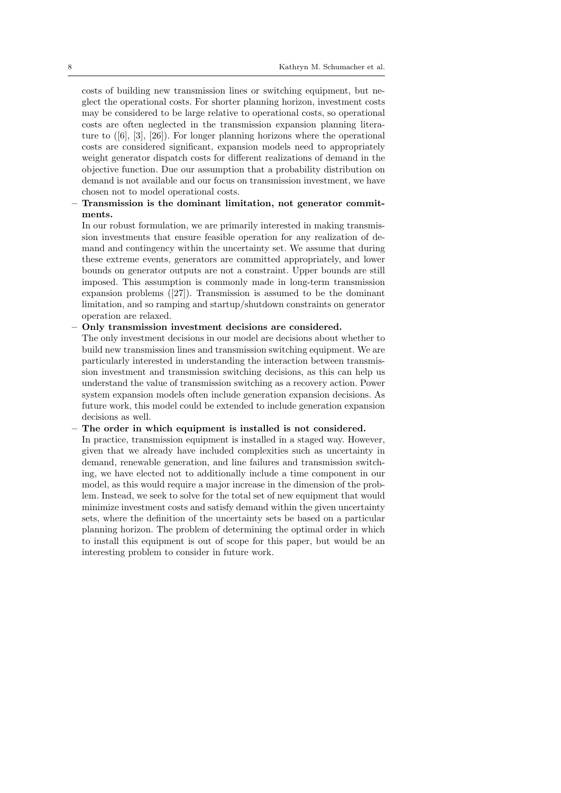costs of building new transmission lines or switching equipment, but neglect the operational costs. For shorter planning horizon, investment costs may be considered to be large relative to operational costs, so operational costs are often neglected in the transmission expansion planning literature to ([6], [3], [26]). For longer planning horizons where the operational costs are considered significant, expansion models need to appropriately weight generator dispatch costs for different realizations of demand in the objective function. Due our assumption that a probability distribution on demand is not available and our focus on transmission investment, we have chosen not to model operational costs.

# – Transmission is the dominant limitation, not generator commitments.

In our robust formulation, we are primarily interested in making transmission investments that ensure feasible operation for any realization of demand and contingency within the uncertainty set. We assume that during these extreme events, generators are committed appropriately, and lower bounds on generator outputs are not a constraint. Upper bounds are still imposed. This assumption is commonly made in long-term transmission expansion problems ([27]). Transmission is assumed to be the dominant limitation, and so ramping and startup/shutdown constraints on generator operation are relaxed.

# – Only transmission investment decisions are considered.

The only investment decisions in our model are decisions about whether to build new transmission lines and transmission switching equipment. We are particularly interested in understanding the interaction between transmission investment and transmission switching decisions, as this can help us understand the value of transmission switching as a recovery action. Power system expansion models often include generation expansion decisions. As future work, this model could be extended to include generation expansion decisions as well.

# – The order in which equipment is installed is not considered.

In practice, transmission equipment is installed in a staged way. However, given that we already have included complexities such as uncertainty in demand, renewable generation, and line failures and transmission switching, we have elected not to additionally include a time component in our model, as this would require a major increase in the dimension of the problem. Instead, we seek to solve for the total set of new equipment that would minimize investment costs and satisfy demand within the given uncertainty sets, where the definition of the uncertainty sets be based on a particular planning horizon. The problem of determining the optimal order in which to install this equipment is out of scope for this paper, but would be an interesting problem to consider in future work.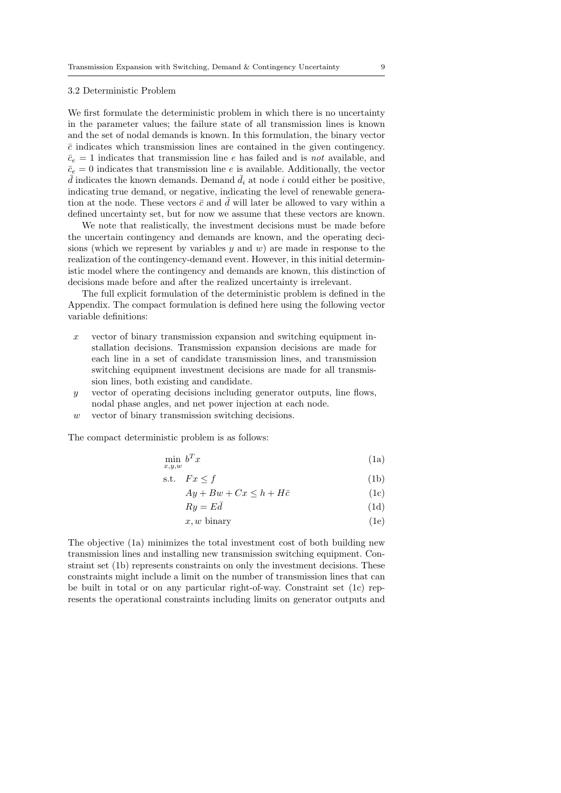# 3.2 Deterministic Problem

We first formulate the deterministic problem in which there is no uncertainty in the parameter values; the failure state of all transmission lines is known and the set of nodal demands is known. In this formulation, the binary vector  $\bar{c}$  indicates which transmission lines are contained in the given contingency.  $\bar{c}_e = 1$  indicates that transmission line e has failed and is not available, and  $\bar{c}_e = 0$  indicates that transmission line e is available. Additionally, the vector  $\bar{d}$  indicates the known demands. Demand  $\bar{d}_i$  at node i could either be positive, indicating true demand, or negative, indicating the level of renewable generation at the node. These vectors  $\bar{c}$  and  $\bar{d}$  will later be allowed to vary within a defined uncertainty set, but for now we assume that these vectors are known.

We note that realistically, the investment decisions must be made before the uncertain contingency and demands are known, and the operating decisions (which we represent by variables  $y$  and  $w$ ) are made in response to the realization of the contingency-demand event. However, in this initial deterministic model where the contingency and demands are known, this distinction of decisions made before and after the realized uncertainty is irrelevant.

The full explicit formulation of the deterministic problem is defined in the Appendix. The compact formulation is defined here using the following vector variable definitions:

- $x$  vector of binary transmission expansion and switching equipment installation decisions. Transmission expansion decisions are made for each line in a set of candidate transmission lines, and transmission switching equipment investment decisions are made for all transmission lines, both existing and candidate.
- $y$  vector of operating decisions including generator outputs, line flows, nodal phase angles, and net power injection at each node.
- w vector of binary transmission switching decisions.

The compact deterministic problem is as follows:

$$
\min_{x,y,w} b^T x \tag{1a}
$$

$$
s.t. \quad Fx \le f \tag{1b}
$$

$$
Ay + Bw + Cx \le h + H\bar{c}
$$
 (1c)

$$
Ry = E\bar{d} \tag{1d}
$$

 $x, w$  binary (1e)

The objective (1a) minimizes the total investment cost of both building new transmission lines and installing new transmission switching equipment. Constraint set (1b) represents constraints on only the investment decisions. These constraints might include a limit on the number of transmission lines that can be built in total or on any particular right-of-way. Constraint set (1c) represents the operational constraints including limits on generator outputs and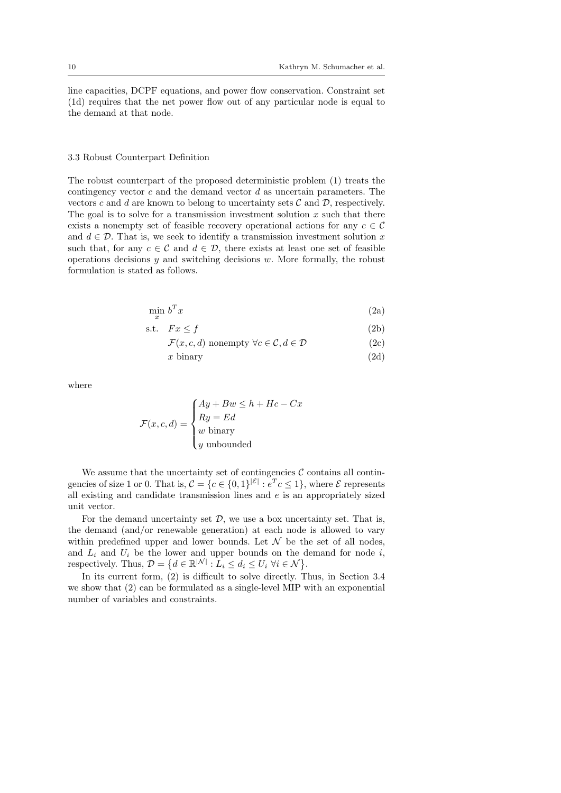line capacities, DCPF equations, and power flow conservation. Constraint set (1d) requires that the net power flow out of any particular node is equal to the demand at that node.

#### 3.3 Robust Counterpart Definition

The robust counterpart of the proposed deterministic problem (1) treats the contingency vector  $c$  and the demand vector  $d$  as uncertain parameters. The vectors c and d are known to belong to uncertainty sets  $\mathcal C$  and  $\mathcal D$ , respectively. The goal is to solve for a transmission investment solution  $x$  such that there exists a nonempty set of feasible recovery operational actions for any  $c \in \mathcal{C}$ and  $d \in \mathcal{D}$ . That is, we seek to identify a transmission investment solution x such that, for any  $c \in \mathcal{C}$  and  $d \in \mathcal{D}$ , there exists at least one set of feasible operations decisions  $y$  and switching decisions  $w$ . More formally, the robust formulation is stated as follows.

$$
\min_{x} b^T x \tag{2a}
$$

$$
s.t. \quad Fx \le f \tag{2b}
$$

 $\mathcal{F}(x, c, d)$  nonempty  $\forall c \in \mathcal{C}, d \in \mathcal{D}$  (2c)

$$
x \text{ binary} \tag{2d}
$$

where

$$
\mathcal{F}(x, c, d) = \begin{cases} Ay + Bw \leq h + Hc - Cx \\ Ry = Ed \\ w \text{ binary} \\ y \text{ unbounded} \end{cases}
$$

We assume that the uncertainty set of contingencies  $\mathcal C$  contains all contingencies of size 1 or 0. That is,  $C = \{c \in \{0,1\}^{|\mathcal{E}|} : e^T c \le 1\}$ , where  $\mathcal{E}$  represents all existing and candidate transmission lines and  $e$  is an appropriately sized unit vector.

For the demand uncertainty set  $D$ , we use a box uncertainty set. That is, the demand (and/or renewable generation) at each node is allowed to vary within predefined upper and lower bounds. Let  $\mathcal N$  be the set of all nodes, and  $L_i$  and  $U_i$  be the lower and upper bounds on the demand for node i, respectively. Thus,  $\mathcal{D} = \{ d \in \mathbb{R}^{|\mathcal{N}|} : L_i \leq d_i \leq U_i \ \forall i \in \mathcal{N} \}.$ 

In its current form, (2) is difficult to solve directly. Thus, in Section 3.4 we show that (2) can be formulated as a single-level MIP with an exponential number of variables and constraints.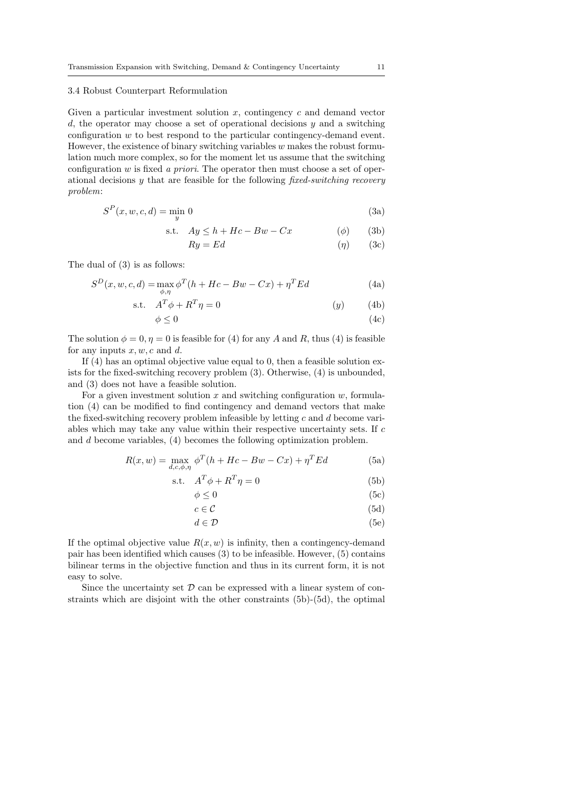#### 3.4 Robust Counterpart Reformulation

Given a particular investment solution  $x$ , contingency  $c$  and demand vector d, the operator may choose a set of operational decisions  $y$  and a switching configuration w to best respond to the particular contingency-demand event. However, the existence of binary switching variables  $w$  makes the robust formulation much more complex, so for the moment let us assume that the switching configuration  $w$  is fixed a priori. The operator then must choose a set of operational decisions  $y$  that are feasible for the following fixed-switching recovery problem:

$$
SP(x, w, c, d) = \min_{y} 0
$$
\n(3a)

$$
\text{s.t.} \quad Ay \le h + Hc - Bw - Cx \tag{3b}
$$

$$
Ry = Ed \qquad \qquad (\eta) \qquad (3c)
$$

The dual of (3) is as follows:

$$
S^{D}(x, w, c, d) = \max_{\phi, \eta} \phi^{T}(h + Hc - Bw - Cx) + \eta^{T}Ed
$$
\n(4a)

$$
s.t. \tA^T \phi + R^T \eta = 0 \t\t (y) \t\t (4b)
$$

$$
\phi \le 0 \tag{4c}
$$

The solution  $\phi = 0, \eta = 0$  is feasible for (4) for any A and R, thus (4) is feasible for any inputs  $x, w, c$  and d.

If (4) has an optimal objective value equal to 0, then a feasible solution exists for the fixed-switching recovery problem (3). Otherwise, (4) is unbounded, and (3) does not have a feasible solution.

For a given investment solution  $x$  and switching configuration  $w$ , formulation (4) can be modified to find contingency and demand vectors that make the fixed-switching recovery problem infeasible by letting  $c$  and  $d$  become variables which may take any value within their respective uncertainty sets. If c and d become variables, (4) becomes the following optimization problem.

$$
R(x, w) = \max_{d,c,\phi,\eta} \phi^T (h + Hc - Bw - Cx) + \eta^T Ed
$$
 (5a)

$$
s.t. \quad A^T \phi + R^T \eta = 0 \tag{5b}
$$

$$
\phi \le 0 \tag{5c}
$$

$$
c \in \mathcal{C} \tag{5d}
$$

$$
d \in \mathcal{D} \tag{5e}
$$

If the optimal objective value  $R(x, w)$  is infinity, then a contingency-demand pair has been identified which causes (3) to be infeasible. However, (5) contains bilinear terms in the objective function and thus in its current form, it is not easy to solve.

Since the uncertainty set  $\mathcal D$  can be expressed with a linear system of constraints which are disjoint with the other constraints (5b)-(5d), the optimal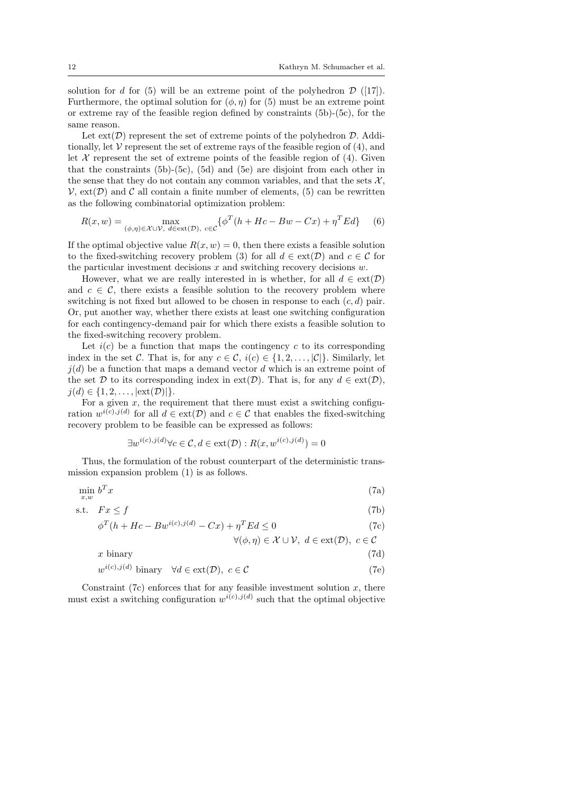solution for d for (5) will be an extreme point of the polyhedron  $\mathcal{D}$  ([17]). Furthermore, the optimal solution for  $(\phi, \eta)$  for (5) must be an extreme point or extreme ray of the feasible region defined by constraints (5b)-(5c), for the same reason.

Let  $ext(\mathcal{D})$  represent the set of extreme points of the polyhedron  $\mathcal{D}$ . Additionally, let  $\mathcal V$  represent the set of extreme rays of the feasible region of (4), and let  $X$  represent the set of extreme points of the feasible region of (4). Given that the constraints (5b)-(5c), (5d) and (5e) are disjoint from each other in the sense that they do not contain any common variables, and that the sets  $\mathcal{X},$  $V$ ,  $ext{ext}(D)$  and C all contain a finite number of elements, (5) can be rewritten as the following combinatorial optimization problem:

$$
R(x, w) = \max_{(\phi, \eta) \in \mathcal{X} \cup \mathcal{V}, d \in \text{ext}(\mathcal{D}), c \in \mathcal{C}} \{ \phi^T(h + Hc - Bw - Cx) + \eta^T Ed \} \tag{6}
$$

If the optimal objective value  $R(x, w) = 0$ , then there exists a feasible solution to the fixed-switching recovery problem (3) for all  $d \in \text{ext}(\mathcal{D})$  and  $c \in \mathcal{C}$  for the particular investment decisions  $x$  and switching recovery decisions  $w$ .

However, what we are really interested in is whether, for all  $d \in ext(\mathcal{D})$ and  $c \in \mathcal{C}$ , there exists a feasible solution to the recovery problem where switching is not fixed but allowed to be chosen in response to each  $(c, d)$  pair. Or, put another way, whether there exists at least one switching configuration for each contingency-demand pair for which there exists a feasible solution to the fixed-switching recovery problem.

Let  $i(c)$  be a function that maps the contingency c to its corresponding index in the set C. That is, for any  $c \in \mathcal{C}$ ,  $i(c) \in \{1, 2, ..., |\mathcal{C}|\}$ . Similarly, let  $j(d)$  be a function that maps a demand vector d which is an extreme point of the set D to its corresponding index in ext(D). That is, for any  $d \in ext(D)$ ,  $j(d) \in \{1, 2, ..., |\text{ext}(\mathcal{D})|\}.$ 

For a given  $x$ , the requirement that there must exist a switching configuration  $w^{i(c),j(d)}$  for all  $d \in \text{ext}(\mathcal{D})$  and  $c \in \mathcal{C}$  that enables the fixed-switching recovery problem to be feasible can be expressed as follows:

$$
\exists w^{i(c),j(d)} \forall c \in \mathcal{C}, d \in \text{ext}(\mathcal{D}): R(x, w^{i(c),j(d)}) = 0
$$

Thus, the formulation of the robust counterpart of the deterministic transmission expansion problem (1) is as follows.

$$
\min_{x,w} \, b^T x \tag{7a}
$$

$$
\text{s.t.} \quad Fx \le f \tag{7b}
$$

$$
\phi^T(h + Hc - Bw^{i(c),j(d)} - Cx) + \eta^T Ed \le 0
$$
\n<sup>(7c)</sup>

 $\forall (\phi, \eta) \in \mathcal{X} \cup \mathcal{V}, \ d \in ext(\mathcal{D}), \ c \in \mathcal{C}$ 

 $x \text{ binary}$  (7d)

$$
w^{i(c),j(d)}\text{ binary }\forall d \in \text{ext}(\mathcal{D}),\ c \in \mathcal{C}
$$
\n
$$
(7e)
$$

Constraint (7c) enforces that for any feasible investment solution  $x$ , there must exist a switching configuration  $w^{i(c),j(d)}$  such that the optimal objective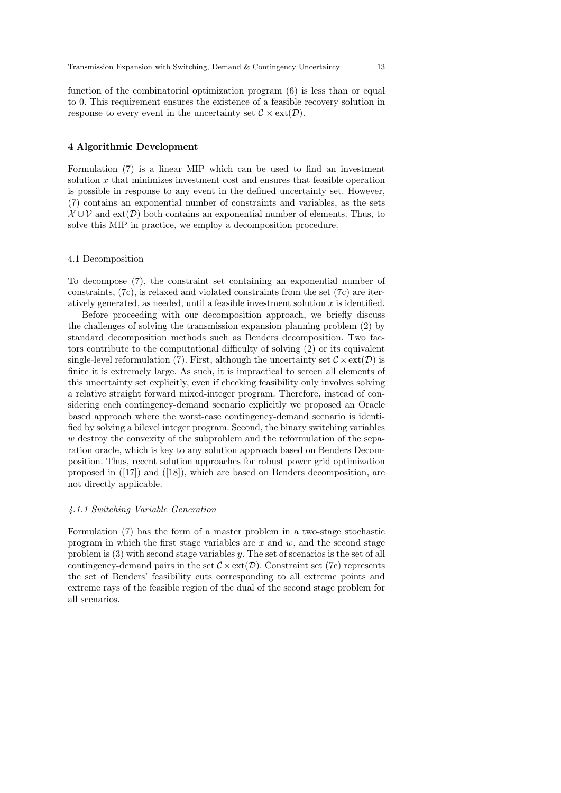function of the combinatorial optimization program (6) is less than or equal to 0. This requirement ensures the existence of a feasible recovery solution in response to every event in the uncertainty set  $\mathcal{C} \times \text{ext}(\mathcal{D})$ .

#### 4 Algorithmic Development

Formulation (7) is a linear MIP which can be used to find an investment solution  $x$  that minimizes investment cost and ensures that feasible operation is possible in response to any event in the defined uncertainty set. However, (7) contains an exponential number of constraints and variables, as the sets  $\mathcal{X} \cup \mathcal{V}$  and ext( $\mathcal{D}$ ) both contains an exponential number of elements. Thus, to solve this MIP in practice, we employ a decomposition procedure.

#### 4.1 Decomposition

To decompose (7), the constraint set containing an exponential number of constraints, (7c), is relaxed and violated constraints from the set (7c) are iteratively generated, as needed, until a feasible investment solution  $x$  is identified.

Before proceeding with our decomposition approach, we briefly discuss the challenges of solving the transmission expansion planning problem (2) by standard decomposition methods such as Benders decomposition. Two factors contribute to the computational difficulty of solving (2) or its equivalent single-level reformulation (7). First, although the uncertainty set  $\mathcal{C} \times \text{ext}(\mathcal{D})$  is finite it is extremely large. As such, it is impractical to screen all elements of this uncertainty set explicitly, even if checking feasibility only involves solving a relative straight forward mixed-integer program. Therefore, instead of considering each contingency-demand scenario explicitly we proposed an Oracle based approach where the worst-case contingency-demand scenario is identified by solving a bilevel integer program. Second, the binary switching variables w destroy the convexity of the subproblem and the reformulation of the separation oracle, which is key to any solution approach based on Benders Decomposition. Thus, recent solution approaches for robust power grid optimization proposed in ([17]) and ([18]), which are based on Benders decomposition, are not directly applicable.

# 4.1.1 Switching Variable Generation

Formulation (7) has the form of a master problem in a two-stage stochastic program in which the first stage variables are  $x$  and  $w$ , and the second stage problem is (3) with second stage variables y. The set of scenarios is the set of all contingency-demand pairs in the set  $\mathcal{C} \times \text{ext}(\mathcal{D})$ . Constraint set (7c) represents the set of Benders' feasibility cuts corresponding to all extreme points and extreme rays of the feasible region of the dual of the second stage problem for all scenarios.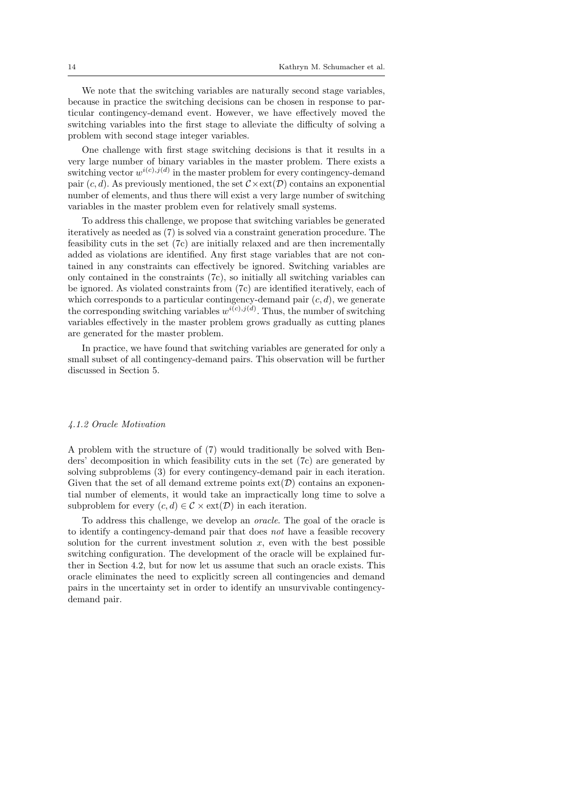We note that the switching variables are naturally second stage variables, because in practice the switching decisions can be chosen in response to particular contingency-demand event. However, we have effectively moved the switching variables into the first stage to alleviate the difficulty of solving a problem with second stage integer variables.

One challenge with first stage switching decisions is that it results in a very large number of binary variables in the master problem. There exists a switching vector  $w^{i(c),j(d)}$  in the master problem for every contingency-demand pair  $(c, d)$ . As previously mentioned, the set  $\mathcal{C} \times \text{ext}(\mathcal{D})$  contains an exponential number of elements, and thus there will exist a very large number of switching variables in the master problem even for relatively small systems.

To address this challenge, we propose that switching variables be generated iteratively as needed as (7) is solved via a constraint generation procedure. The feasibility cuts in the set (7c) are initially relaxed and are then incrementally added as violations are identified. Any first stage variables that are not contained in any constraints can effectively be ignored. Switching variables are only contained in the constraints (7c), so initially all switching variables can be ignored. As violated constraints from (7c) are identified iteratively, each of which corresponds to a particular contingency-demand pair  $(c, d)$ , we generate the corresponding switching variables  $w^{i(c),j(d)}$ . Thus, the number of switching variables effectively in the master problem grows gradually as cutting planes are generated for the master problem.

In practice, we have found that switching variables are generated for only a small subset of all contingency-demand pairs. This observation will be further discussed in Section 5.

#### 4.1.2 Oracle Motivation

A problem with the structure of (7) would traditionally be solved with Benders' decomposition in which feasibility cuts in the set (7c) are generated by solving subproblems (3) for every contingency-demand pair in each iteration. Given that the set of all demand extreme points  $ext(\mathcal{D})$  contains an exponential number of elements, it would take an impractically long time to solve a subproblem for every  $(c, d) \in \mathcal{C} \times \text{ext}(\mathcal{D})$  in each iteration.

To address this challenge, we develop an oracle. The goal of the oracle is to identify a contingency-demand pair that does not have a feasible recovery solution for the current investment solution  $x$ , even with the best possible switching configuration. The development of the oracle will be explained further in Section 4.2, but for now let us assume that such an oracle exists. This oracle eliminates the need to explicitly screen all contingencies and demand pairs in the uncertainty set in order to identify an unsurvivable contingencydemand pair.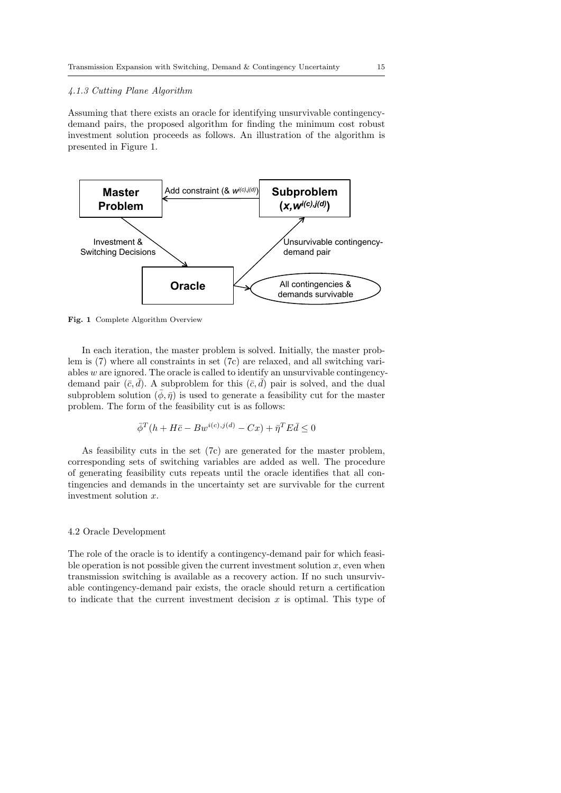# 4.1.3 Cutting Plane Algorithm

Assuming that there exists an oracle for identifying unsurvivable contingencydemand pairs, the proposed algorithm for finding the minimum cost robust investment solution proceeds as follows. An illustration of the algorithm is presented in Figure 1.



Fig. 1 Complete Algorithm Overview

In each iteration, the master problem is solved. Initially, the master problem is (7) where all constraints in set (7c) are relaxed, and all switching variables w are ignored. The oracle is called to identify an unsurvivable contingencydemand pair  $(\bar{c}, \bar{d})$ . A subproblem for this  $(\bar{c}, \bar{d})$  pair is solved, and the dual subproblem solution  $(\bar{\phi}, \bar{\eta})$  is used to generate a feasibility cut for the master problem. The form of the feasibility cut is as follows:

$$
\bar{\phi}^T(h + H\bar{c} - B w^{i(c),j(d)} - Cx) + \bar{\eta}^T E \bar{d} \le 0
$$

As feasibility cuts in the set (7c) are generated for the master problem, corresponding sets of switching variables are added as well. The procedure of generating feasibility cuts repeats until the oracle identifies that all contingencies and demands in the uncertainty set are survivable for the current investment solution x.

### 4.2 Oracle Development

The role of the oracle is to identify a contingency-demand pair for which feasible operation is not possible given the current investment solution  $x$ , even when transmission switching is available as a recovery action. If no such unsurvivable contingency-demand pair exists, the oracle should return a certification to indicate that the current investment decision  $x$  is optimal. This type of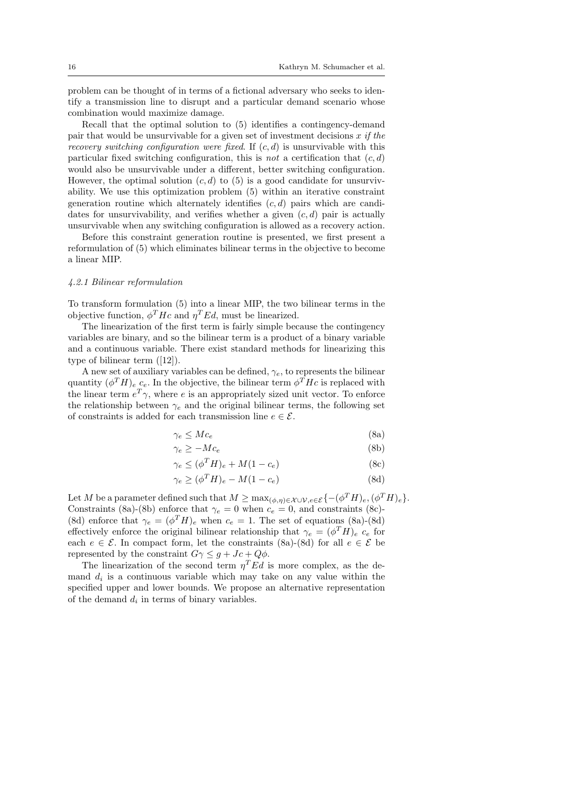problem can be thought of in terms of a fictional adversary who seeks to identify a transmission line to disrupt and a particular demand scenario whose combination would maximize damage.

Recall that the optimal solution to (5) identifies a contingency-demand pair that would be unsurvivable for a given set of investment decisions  $x$  if the recovery switching configuration were fixed. If  $(c, d)$  is unsurvivable with this particular fixed switching configuration, this is not a certification that  $(c, d)$ would also be unsurvivable under a different, better switching configuration. However, the optimal solution  $(c, d)$  to  $(5)$  is a good candidate for unsurvivability. We use this optimization problem (5) within an iterative constraint generation routine which alternately identifies  $(c, d)$  pairs which are candidates for unsurvivability, and verifies whether a given  $(c, d)$  pair is actually unsurvivable when any switching configuration is allowed as a recovery action.

Before this constraint generation routine is presented, we first present a reformulation of (5) which eliminates bilinear terms in the objective to become a linear MIP.

#### 4.2.1 Bilinear reformulation

To transform formulation (5) into a linear MIP, the two bilinear terms in the objective function,  $\phi^T H c$  and  $\eta^T E d$ , must be linearized.

The linearization of the first term is fairly simple because the contingency variables are binary, and so the bilinear term is a product of a binary variable and a continuous variable. There exist standard methods for linearizing this type of bilinear term ([12]).

A new set of auxiliary variables can be defined,  $\gamma_e$ , to represents the bilinear quantity  $(\phi^T H)_e$   $c_e$ . In the objective, the bilinear term  $\phi^T H c$  is replaced with the linear term  $e^T \gamma$ , where e is an appropriately sized unit vector. To enforce the relationship between  $\gamma_e$  and the original bilinear terms, the following set of constraints is added for each transmission line  $e \in \mathcal{E}$ .

$$
\gamma_e \le Mc_e \tag{8a}
$$

$$
\gamma_e \ge -Mc_e \tag{8b}
$$

$$
\gamma_e \le (\phi^T H)_e + M(1 - c_e) \tag{8c}
$$

$$
\gamma_e \ge (\phi^T H)_e - M(1 - c_e) \tag{8d}
$$

Let M be a parameter defined such that  $M \ge \max_{(\phi,\eta) \in \mathcal{X} \cup \mathcal{V}, e \in \mathcal{E}} \{-(\phi^T H)_e, (\phi^T H)_e\}.$ Constraints (8a)-(8b) enforce that  $\gamma_e = 0$  when  $c_e = 0$ , and constraints (8c)-(8d) enforce that  $\gamma_e = (\phi^T H)_e$  when  $c_e = 1$ . The set of equations (8a)-(8d) effectively enforce the original bilinear relationship that  $\gamma_e = (\phi^T H)_e$   $c_e$  for each  $e \in \mathcal{E}$ . In compact form, let the constraints (8a)-(8d) for all  $e \in \mathcal{E}$  be represented by the constraint  $G\gamma \leq g + Jc + Q\phi$ .

The linearization of the second term  $\eta^T Ed$  is more complex, as the demand  $d_i$  is a continuous variable which may take on any value within the specified upper and lower bounds. We propose an alternative representation of the demand  $d_i$  in terms of binary variables.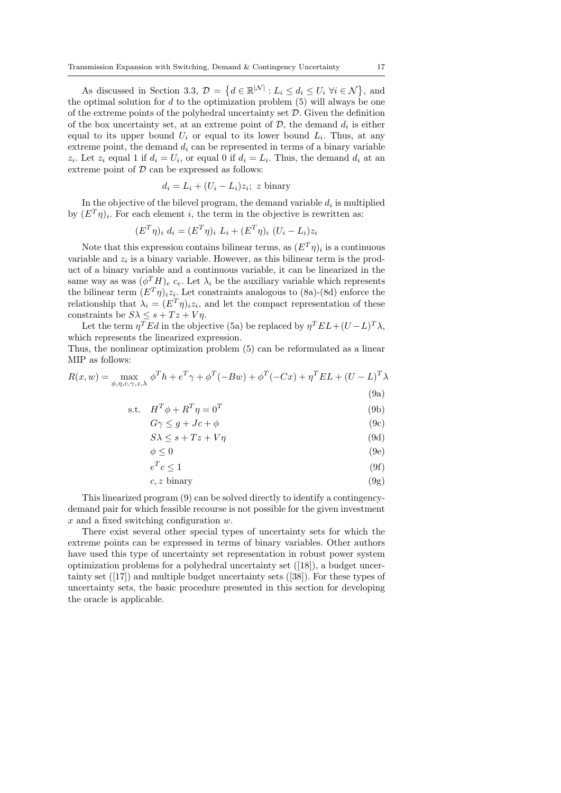As discussed in Section 3.3,  $\mathcal{D} = \{d \in \mathbb{R}^{|\mathcal{N}|} : L_i \leq d_i \leq U_i \ \forall i \in \mathcal{N}\},\$ and the optimal solution for  $d$  to the optimization problem  $(5)$  will always be one of the extreme points of the polyhedral uncertainty set  $D$ . Given the definition of the box uncertainty set, at an extreme point of  $D$ , the demand  $d_i$  is either equal to its upper bound  $U_i$  or equal to its lower bound  $L_i$ . Thus, at any extreme point, the demand  $d_i$  can be represented in terms of a binary variable  $z_i$ . Let  $z_i$  equal 1 if  $d_i = U_i$ , or equal 0 if  $d_i = L_i$ . Thus, the demand  $d_i$  at an extreme point of  $D$  can be expressed as follows:

$$
d_i = L_i + (U_i - L_i)z_i; \ z \text{ binary}
$$

In the objective of the bilevel program, the demand variable  $d_i$  is multiplied by  $(E^T \eta)_i$ . For each element i, the term in the objective is rewritten as:

$$
(E^T \eta)_i \ d_i = (E^T \eta)_i \ L_i + (E^T \eta)_i \ (U_i - L_i) z_i
$$

Note that this expression contains bilinear terms, as  $(E^T \eta)_i$  is a continuous variable and  $z_i$  is a binary variable. However, as this bilinear term is the product of a binary variable and a continuous variable, it can be linearized in the same way as was  $(\phi^T H)_e$   $c_e$ . Let  $\lambda_i$  be the auxiliary variable which represents the bilinear term  $(E^T \eta)_{i} z_i$ . Let constraints analogous to (8a)-(8d) enforce the relationship that  $\lambda_i = (E^T \eta)_{i} z_i$ , and let the compact representation of these constraints be  $S\lambda \leq s + Tz + V\eta$ .

Let the term  $\eta^T Ed$  in the objective (5a) be replaced by  $\eta^T EL + (U - L)^T \lambda$ , which represents the linearized expression.

Thus, the nonlinear optimization problem (5) can be reformulated as a linear MIP as follows:

$$
R(x, w) = \max_{\phi, \eta, c, \gamma, z, \lambda} \phi^T h + e^T \gamma + \phi^T (-Bw) + \phi^T (-Cx) + \eta^T EL + (U - L)^T \lambda
$$
\n(9a)

$$
H^T \triangle + P^T n = 0^T \tag{9a}
$$

s.t. 
$$
H^T \phi + R^T \eta = 0^T
$$
 (9b)  

$$
G\gamma < q + Jc + \phi
$$
 (9c)

$$
S\lambda \le s + Tz + V\eta \tag{9d}
$$

$$
\phi \le 0 \tag{9e}
$$

$$
e^T c \le 1\tag{9f}
$$

$$
c, z \text{ binary} \tag{9g}
$$

This linearized program (9) can be solved directly to identify a contingencydemand pair for which feasible recourse is not possible for the given investment  $x$  and a fixed switching configuration  $w$ .

There exist several other special types of uncertainty sets for which the extreme points can be expressed in terms of binary variables. Other authors have used this type of uncertainty set representation in robust power system optimization problems for a polyhedral uncertainty set ([18]), a budget uncertainty set ([17]) and multiple budget uncertainty sets ([38]). For these types of uncertainty sets, the basic procedure presented in this section for developing the oracle is applicable.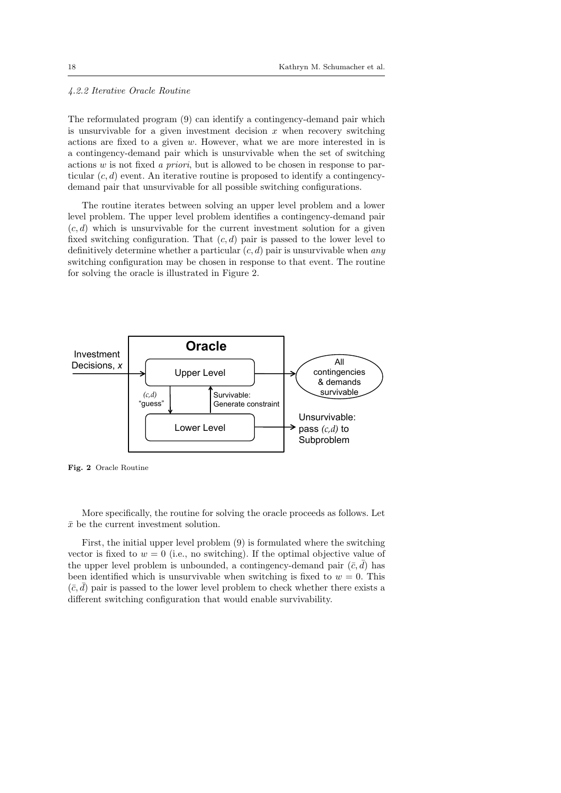# 4.2.2 Iterative Oracle Routine

The reformulated program (9) can identify a contingency-demand pair which is unsurvivable for a given investment decision  $x$  when recovery switching actions are fixed to a given w. However, what we are more interested in is a contingency-demand pair which is unsurvivable when the set of switching actions  $w$  is not fixed a priori, but is allowed to be chosen in response to particular  $(c, d)$  event. An iterative routine is proposed to identify a contingencydemand pair that unsurvivable for all possible switching configurations.

The routine iterates between solving an upper level problem and a lower level problem. The upper level problem identifies a contingency-demand pair  $(c, d)$  which is unsurvivable for the current investment solution for a given fixed switching configuration. That  $(c, d)$  pair is passed to the lower level to definitively determine whether a particular  $(c, d)$  pair is unsurvivable when any switching configuration may be chosen in response to that event. The routine for solving the oracle is illustrated in Figure 2.



Fig. 2 Oracle Routine

More specifically, the routine for solving the oracle proceeds as follows. Let  $\bar{x}$  be the current investment solution.

First, the initial upper level problem (9) is formulated where the switching vector is fixed to  $w = 0$  (i.e., no switching). If the optimal objective value of the upper level problem is unbounded, a contingency-demand pair  $(\bar{c}, \bar{d})$  has been identified which is unsurvivable when switching is fixed to  $w = 0$ . This  $(\bar{c}, \bar{d})$  pair is passed to the lower level problem to check whether there exists a different switching configuration that would enable survivability.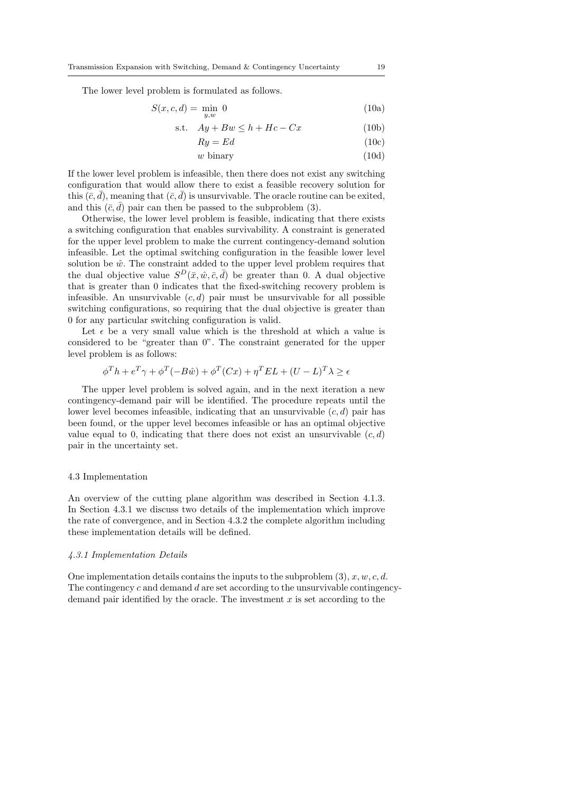The lower level problem is formulated as follows.

$$
S(x, c, d) = \min_{y, w} 0
$$
\n(10a)

$$
\text{s.t.} \quad Ay + Bw \le h + Hc - Cx \tag{10b}
$$

$$
Ry = Ed \tag{10c}
$$

$$
w \text{ binary} \tag{10d}
$$

If the lower level problem is infeasible, then there does not exist any switching configuration that would allow there to exist a feasible recovery solution for this  $(\bar{c}, \bar{d})$ , meaning that  $(\bar{c}, \bar{d})$  is unsurvivable. The oracle routine can be exited, and this  $(\bar{c}, \bar{d})$  pair can then be passed to the subproblem (3).

Otherwise, the lower level problem is feasible, indicating that there exists a switching configuration that enables survivability. A constraint is generated for the upper level problem to make the current contingency-demand solution infeasible. Let the optimal switching configuration in the feasible lower level solution be  $\hat{w}$ . The constraint added to the upper level problem requires that the dual objective value  $S^D(\bar{x}, \hat{w}, \bar{c}, \bar{d})$  be greater than 0. A dual objective that is greater than 0 indicates that the fixed-switching recovery problem is infeasible. An unsurvivable  $(c, d)$  pair must be unsurvivable for all possible switching configurations, so requiring that the dual objective is greater than 0 for any particular switching configuration is valid.

Let  $\epsilon$  be a very small value which is the threshold at which a value is considered to be "greater than 0". The constraint generated for the upper level problem is as follows:

$$
\phi^T h + e^T \gamma + \phi^T (-B\hat{w}) + \phi^T (Cx) + \eta^T EL + (U - L)^T \lambda \ge \epsilon
$$

The upper level problem is solved again, and in the next iteration a new contingency-demand pair will be identified. The procedure repeats until the lower level becomes infeasible, indicating that an unsurvivable  $(c, d)$  pair has been found, or the upper level becomes infeasible or has an optimal objective value equal to 0, indicating that there does not exist an unsurvivable  $(c, d)$ pair in the uncertainty set.

#### 4.3 Implementation

An overview of the cutting plane algorithm was described in Section 4.1.3. In Section 4.3.1 we discuss two details of the implementation which improve the rate of convergence, and in Section 4.3.2 the complete algorithm including these implementation details will be defined.

# 4.3.1 Implementation Details

One implementation details contains the inputs to the subproblem  $(3), x, w, c, d$ . The contingency c and demand  $d$  are set according to the unsurvivable contingencydemand pair identified by the oracle. The investment x is set according to the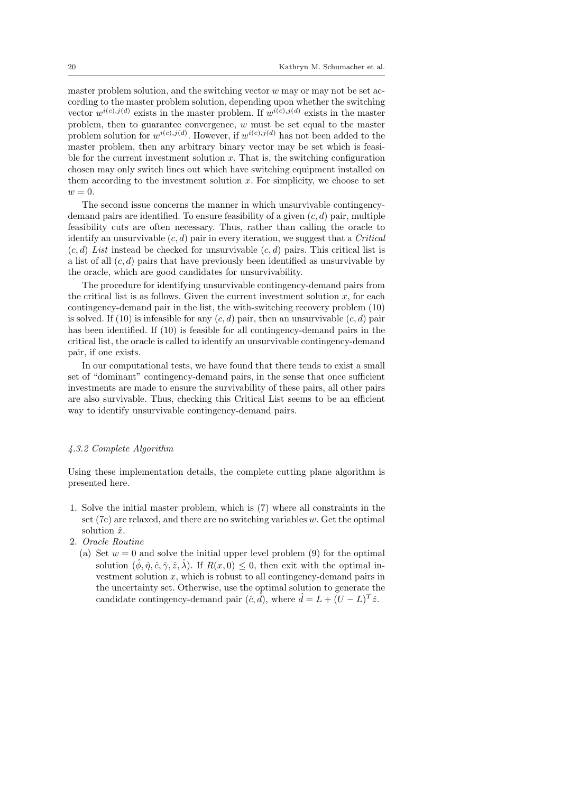master problem solution, and the switching vector  $w$  may or may not be set according to the master problem solution, depending upon whether the switching vector  $w^{i(c),j(d)}$  exists in the master problem. If  $w^{i(c),j(d)}$  exists in the master problem, then to guarantee convergence, w must be set equal to the master problem solution for  $w^{i(c),j(d)}$ . However, if  $w^{i(c),j(d)}$  has not been added to the master problem, then any arbitrary binary vector may be set which is feasible for the current investment solution  $x$ . That is, the switching configuration chosen may only switch lines out which have switching equipment installed on them according to the investment solution  $x$ . For simplicity, we choose to set  $w=0.$ 

The second issue concerns the manner in which unsurvivable contingencydemand pairs are identified. To ensure feasibility of a given  $(c, d)$  pair, multiple feasibility cuts are often necessary. Thus, rather than calling the oracle to identify an unsurvivable  $(c, d)$  pair in every iteration, we suggest that a *Critical*  $(c, d)$  List instead be checked for unsurvivable  $(c, d)$  pairs. This critical list is a list of all  $(c, d)$  pairs that have previously been identified as unsurvivable by the oracle, which are good candidates for unsurvivability.

The procedure for identifying unsurvivable contingency-demand pairs from the critical list is as follows. Given the current investment solution  $x$ , for each contingency-demand pair in the list, the with-switching recovery problem (10) is solved. If (10) is infeasible for any  $(c, d)$  pair, then an unsurvivable  $(c, d)$  pair has been identified. If (10) is feasible for all contingency-demand pairs in the critical list, the oracle is called to identify an unsurvivable contingency-demand pair, if one exists.

In our computational tests, we have found that there tends to exist a small set of "dominant" contingency-demand pairs, in the sense that once sufficient investments are made to ensure the survivability of these pairs, all other pairs are also survivable. Thus, checking this Critical List seems to be an efficient way to identify unsurvivable contingency-demand pairs.

# 4.3.2 Complete Algorithm

Using these implementation details, the complete cutting plane algorithm is presented here.

- 1. Solve the initial master problem, which is (7) where all constraints in the set  $(7c)$  are relaxed, and there are no switching variables w. Get the optimal solution  $\hat{x}$ .
- 2. Oracle Routine
	- (a) Set  $w = 0$  and solve the initial upper level problem (9) for the optimal solution  $(\hat{\phi}, \hat{\eta}, \hat{c}, \hat{\gamma}, \hat{z}, \hat{\lambda})$ . If  $R(x, 0) \leq 0$ , then exit with the optimal investment solution  $x$ , which is robust to all contingency-demand pairs in the uncertainty set. Otherwise, use the optimal solution to generate the candidate contingency-demand pair  $(\hat{c}, \hat{d})$ , where  $\hat{d} = L + (U - L)^T \hat{z}$ .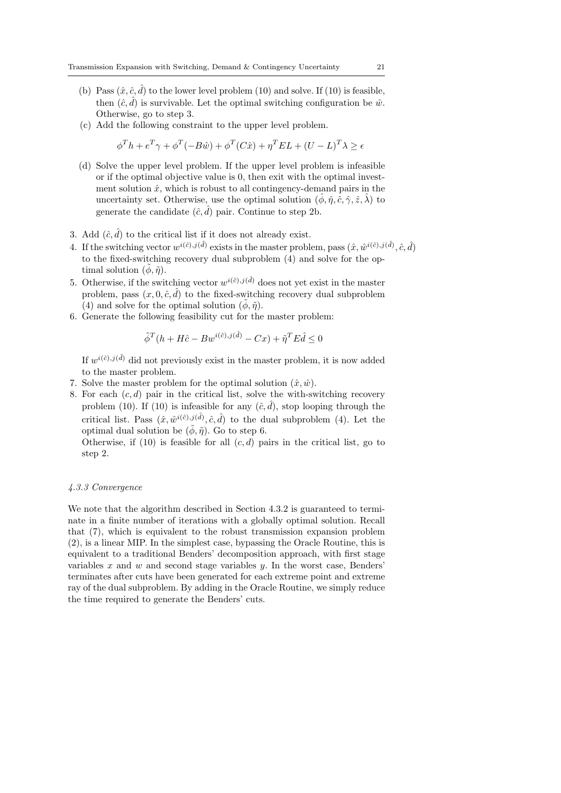- (b) Pass  $(\hat{x}, \hat{c}, \hat{d})$  to the lower level problem (10) and solve. If (10) is feasible, then  $(\hat{c}, \hat{d})$  is survivable. Let the optimal switching configuration be  $\hat{w}$ . Otherwise, go to step 3.
- (c) Add the following constraint to the upper level problem.

$$
\phi^T h + e^T \gamma + \phi^T (-B\hat{w}) + \phi^T (C\hat{x}) + \eta^T EL + (U - L)^T \lambda \ge \epsilon
$$

- (d) Solve the upper level problem. If the upper level problem is infeasible or if the optimal objective value is 0, then exit with the optimal investment solution  $\hat{x}$ , which is robust to all contingency-demand pairs in the uncertainty set. Otherwise, use the optimal solution  $(\hat{\phi}, \hat{\eta}, \hat{c}, \hat{\gamma}, \hat{z}, \hat{\lambda})$  to generate the candidate  $(\hat{c}, \hat{d})$  pair. Continue to step 2b.
- 3. Add  $(\hat{c}, \hat{d})$  to the critical list if it does not already exist.
- 4. If the switching vector  $w^{i(\hat{c}),j(\hat{d})}$  exists in the master problem, pass  $(\hat{x}, \hat{w}^{i(\hat{c}),j(\hat{d})}, \hat{c}, \hat{d})$ to the fixed-switching recovery dual subproblem (4) and solve for the optimal solution  $(\phi, \tilde{\eta})$ .
- 5. Otherwise, if the switching vector  $w^{i(\hat{c}),j(\hat{d})}$  does not yet exist in the master problem, pass  $(x, 0, \hat{c}, \hat{d})$  to the fixed-switching recovery dual subproblem (4) and solve for the optimal solution  $(\phi, \tilde{\eta})$ .
- 6. Generate the following feasibility cut for the master problem:

$$
\tilde{\phi}^T (h + H\hat{c} - B w^{i(\hat{c}), j(\hat{d})} - C x) + \tilde{\eta}^T E \hat{d} \le 0
$$

If  $w^{i(\hat{c}),j(\hat{d})}$  did not previously exist in the master problem, it is now added to the master problem.

- 7. Solve the master problem for the optimal solution  $(\hat{x}, \hat{w})$ .
- 8. For each  $(c, d)$  pair in the critical list, solve the with-switching recovery problem (10). If (10) is infeasible for any  $(\hat{c}, \hat{d})$ , stop looping through the critical list. Pass  $(\hat{x}, \hat{w}^{i(\hat{c}),j(\hat{d})}, \hat{c}, \hat{d})$  to the dual subproblem (4). Let the optimal dual solution be  $(\phi, \tilde{\eta})$ . Go to step 6.

Otherwise, if (10) is feasible for all  $(c, d)$  pairs in the critical list, go to step 2.

#### 4.3.3 Convergence

We note that the algorithm described in Section 4.3.2 is guaranteed to terminate in a finite number of iterations with a globally optimal solution. Recall that (7), which is equivalent to the robust transmission expansion problem (2), is a linear MIP. In the simplest case, bypassing the Oracle Routine, this is equivalent to a traditional Benders' decomposition approach, with first stage variables x and w and second stage variables  $y$ . In the worst case, Benders' terminates after cuts have been generated for each extreme point and extreme ray of the dual subproblem. By adding in the Oracle Routine, we simply reduce the time required to generate the Benders' cuts.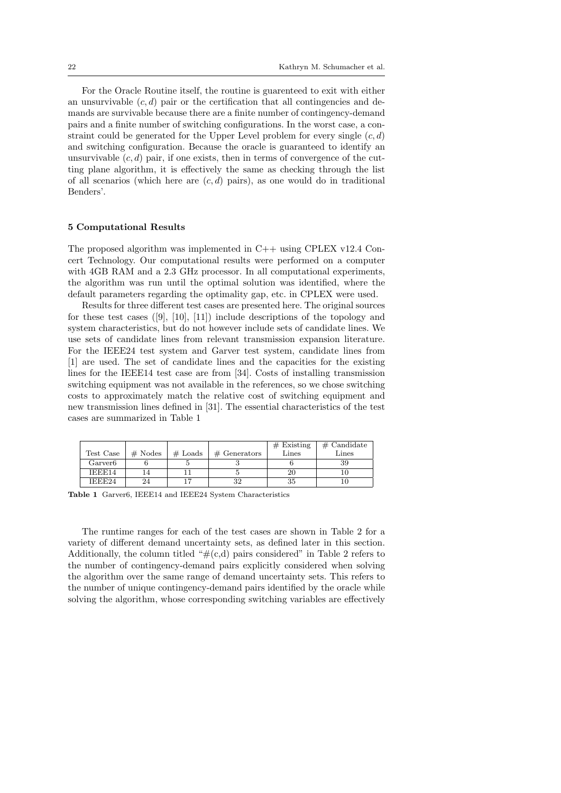For the Oracle Routine itself, the routine is guarenteed to exit with either an unsurvivable  $(c, d)$  pair or the certification that all contingencies and demands are survivable because there are a finite number of contingency-demand pairs and a finite number of switching configurations. In the worst case, a constraint could be generated for the Upper Level problem for every single  $(c, d)$ and switching configuration. Because the oracle is guaranteed to identify an unsurvivable  $(c, d)$  pair, if one exists, then in terms of convergence of the cutting plane algorithm, it is effectively the same as checking through the list of all scenarios (which here are  $(c, d)$  pairs), as one would do in traditional Benders'.

# 5 Computational Results

The proposed algorithm was implemented in C++ using CPLEX v12.4 Concert Technology. Our computational results were performed on a computer with 4GB RAM and a 2.3 GHz processor. In all computational experiments, the algorithm was run until the optimal solution was identified, where the default parameters regarding the optimality gap, etc. in CPLEX were used.

Results for three different test cases are presented here. The original sources for these test cases ([9], [10], [11]) include descriptions of the topology and system characteristics, but do not however include sets of candidate lines. We use sets of candidate lines from relevant transmission expansion literature. For the IEEE24 test system and Garver test system, candidate lines from [1] are used. The set of candidate lines and the capacities for the existing lines for the IEEE14 test case are from [34]. Costs of installing transmission switching equipment was not available in the references, so we chose switching costs to approximately match the relative cost of switching equipment and new transmission lines defined in [31]. The essential characteristics of the test cases are summarized in Table 1

|                     |           |           |                          | $#$ Existing | $#$ Candidate |
|---------------------|-----------|-----------|--------------------------|--------------|---------------|
| Test Case           | $#$ Nodes | $#$ Loads | $# \, \text{Generators}$ | Lines        | Lines         |
| Garver <sub>6</sub> |           |           |                          |              | 39            |
| IEEE14              |           |           |                          | 20           |               |
| IEEE24              | 24        | . .       | າາ                       | 35           |               |

Table 1 Garver6, IEEE14 and IEEE24 System Characteristics

The runtime ranges for each of the test cases are shown in Table 2 for a variety of different demand uncertainty sets, as defined later in this section. Additionally, the column titled " $\#(c,d)$  pairs considered" in Table 2 refers to the number of contingency-demand pairs explicitly considered when solving the algorithm over the same range of demand uncertainty sets. This refers to the number of unique contingency-demand pairs identified by the oracle while solving the algorithm, whose corresponding switching variables are effectively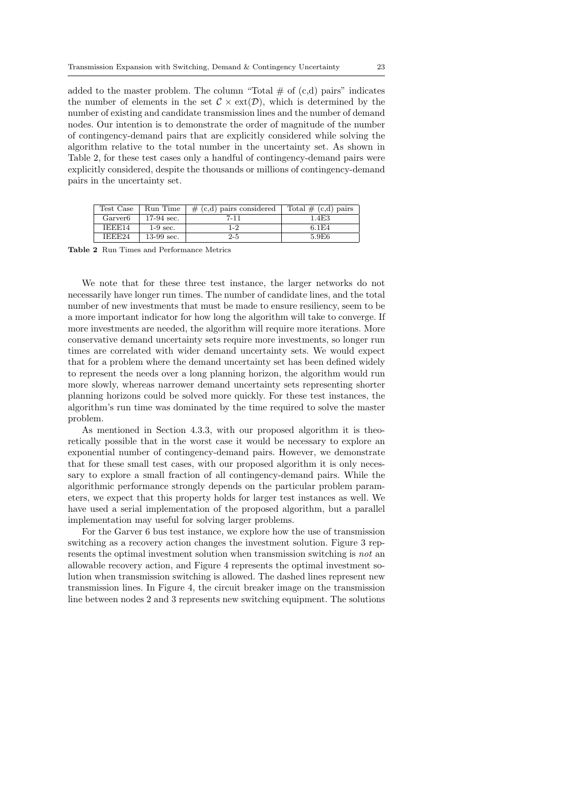added to the master problem. The column "Total  $\#$  of (c,d) pairs" indicates the number of elements in the set  $\mathcal{C} \times \text{ext}(\mathcal{D})$ , which is determined by the number of existing and candidate transmission lines and the number of demand nodes. Our intention is to demonstrate the order of magnitude of the number of contingency-demand pairs that are explicitly considered while solving the algorithm relative to the total number in the uncertainty set. As shown in Table 2, for these test cases only a handful of contingency-demand pairs were explicitly considered, despite the thousands or millions of contingency-demand pairs in the uncertainty set.

| Test Case           | Run Time     | $\#$ (c,d) pairs considered | Total $# (c,d)$ pairs |
|---------------------|--------------|-----------------------------|-----------------------|
| Garver <sub>6</sub> | $17-94$ sec. | 7-11                        | 1.4E3                 |
| IEEE14              | $1-9$ sec.   | $1 - 2$                     | 6.1E4                 |
| IEEE24              | $13-99$ sec. | $2 - 5$                     | 5.9E6                 |

Table 2 Run Times and Performance Metrics

We note that for these three test instance, the larger networks do not necessarily have longer run times. The number of candidate lines, and the total number of new investments that must be made to ensure resiliency, seem to be a more important indicator for how long the algorithm will take to converge. If more investments are needed, the algorithm will require more iterations. More conservative demand uncertainty sets require more investments, so longer run times are correlated with wider demand uncertainty sets. We would expect that for a problem where the demand uncertainty set has been defined widely to represent the needs over a long planning horizon, the algorithm would run more slowly, whereas narrower demand uncertainty sets representing shorter planning horizons could be solved more quickly. For these test instances, the algorithm's run time was dominated by the time required to solve the master problem.

As mentioned in Section 4.3.3, with our proposed algorithm it is theoretically possible that in the worst case it would be necessary to explore an exponential number of contingency-demand pairs. However, we demonstrate that for these small test cases, with our proposed algorithm it is only necessary to explore a small fraction of all contingency-demand pairs. While the algorithmic performance strongly depends on the particular problem parameters, we expect that this property holds for larger test instances as well. We have used a serial implementation of the proposed algorithm, but a parallel implementation may useful for solving larger problems.

For the Garver 6 bus test instance, we explore how the use of transmission switching as a recovery action changes the investment solution. Figure 3 represents the optimal investment solution when transmission switching is not an allowable recovery action, and Figure 4 represents the optimal investment solution when transmission switching is allowed. The dashed lines represent new transmission lines. In Figure 4, the circuit breaker image on the transmission line between nodes 2 and 3 represents new switching equipment. The solutions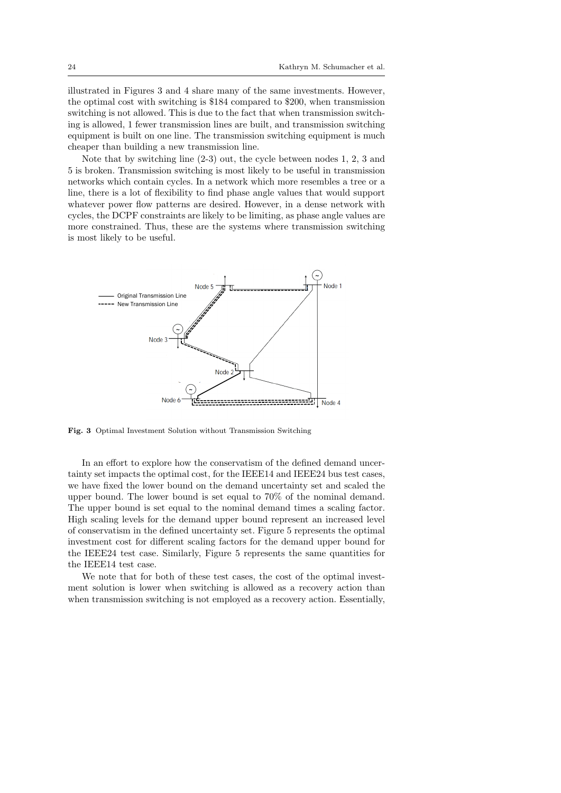illustrated in Figures 3 and 4 share many of the same investments. However, the optimal cost with switching is \$184 compared to \$200, when transmission switching is not allowed. This is due to the fact that when transmission switching is allowed, 1 fewer transmission lines are built, and transmission switching equipment is built on one line. The transmission switching equipment is much cheaper than building a new transmission line.

Note that by switching line (2-3) out, the cycle between nodes 1, 2, 3 and 5 is broken. Transmission switching is most likely to be useful in transmission networks which contain cycles. In a network which more resembles a tree or a line, there is a lot of flexibility to find phase angle values that would support whatever power flow patterns are desired. However, in a dense network with cycles, the DCPF constraints are likely to be limiting, as phase angle values are more constrained. Thus, these are the systems where transmission switching is most likely to be useful.



Fig. 3 Optimal Investment Solution without Transmission Switching

In an effort to explore how the conservatism of the defined demand uncertainty set impacts the optimal cost, for the IEEE14 and IEEE24 bus test cases, we have fixed the lower bound on the demand uncertainty set and scaled the upper bound. The lower bound is set equal to 70% of the nominal demand. The upper bound is set equal to the nominal demand times a scaling factor. High scaling levels for the demand upper bound represent an increased level of conservatism in the defined uncertainty set. Figure 5 represents the optimal investment cost for different scaling factors for the demand upper bound for the IEEE24 test case. Similarly, Figure 5 represents the same quantities for the IEEE14 test case.

We note that for both of these test cases, the cost of the optimal investment solution is lower when switching is allowed as a recovery action than when transmission switching is not employed as a recovery action. Essentially,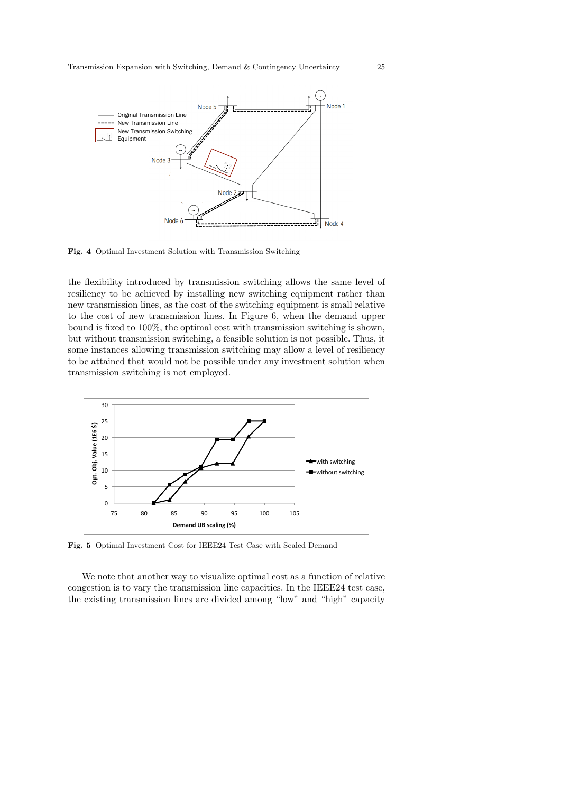

Fig. 4 Optimal Investment Solution with Transmission Switching

the flexibility introduced by transmission switching allows the same level of resiliency to be achieved by installing new switching equipment rather than new transmission lines, as the cost of the switching equipment is small relative to the cost of new transmission lines. In Figure 6, when the demand upper bound is fixed to 100%, the optimal cost with transmission switching is shown, but without transmission switching, a feasible solution is not possible. Thus, it some instances allowing transmission switching may allow a level of resiliency to be attained that would not be possible under any investment solution when transmission switching is not employed.



Fig. 5 Optimal Investment Cost for IEEE24 Test Case with Scaled Demand

We note that another way to visualize optimal cost as a function of relative congestion is to vary the transmission line capacities. In the IEEE24 test case, the existing transmission lines are divided among "low" and "high" capacity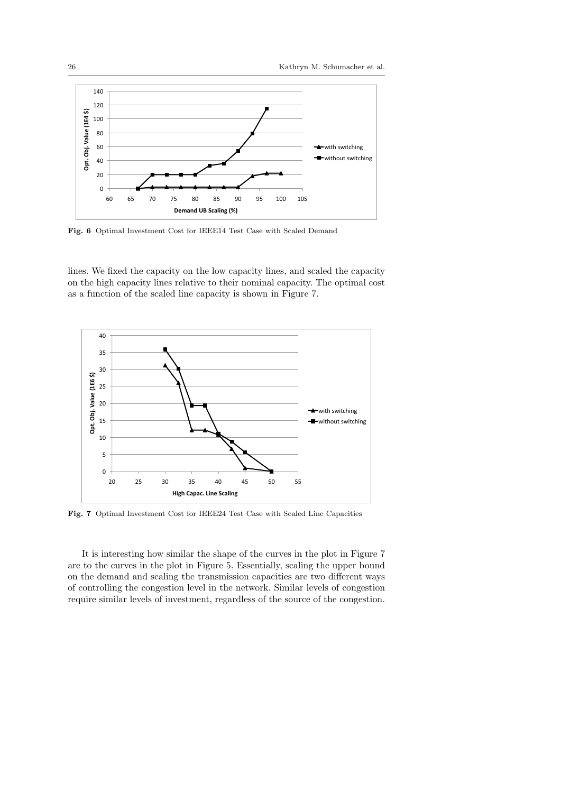

Fig. 6 Optimal Investment Cost for IEEE14 Test Case with Scaled Demand

lines. We fixed the capacity on the low capacity lines, and scaled the capacity on the high capacity lines relative to their nominal capacity. The optimal cost as a function of the scaled line capacity is shown in Figure 7.



Fig. 7 Optimal Investment Cost for IEEE24 Test Case with Scaled Line Capacities

It is interesting how similar the shape of the curves in the plot in Figure 7 are to the curves in the plot in Figure 5. Essentially, scaling the upper bound on the demand and scaling the transmission capacities are two different ways of controlling the congestion level in the network. Similar levels of congestion require similar levels of investment, regardless of the source of the congestion.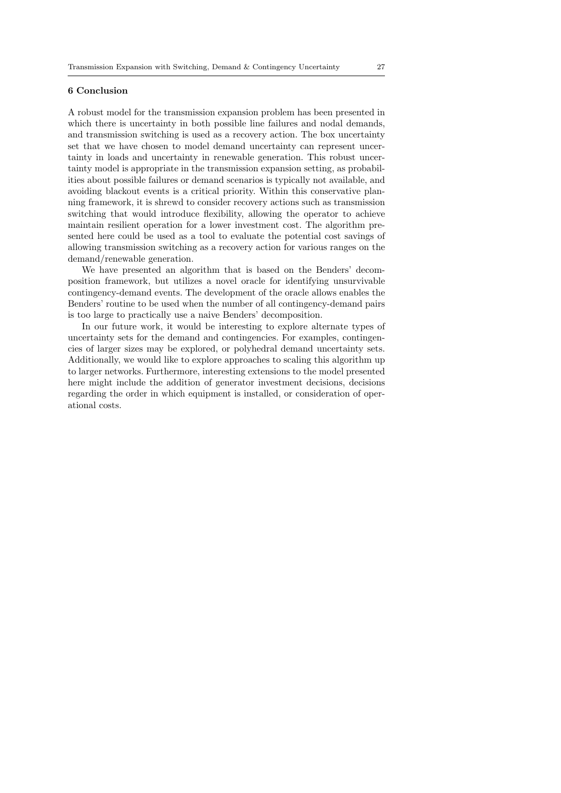# 6 Conclusion

A robust model for the transmission expansion problem has been presented in which there is uncertainty in both possible line failures and nodal demands, and transmission switching is used as a recovery action. The box uncertainty set that we have chosen to model demand uncertainty can represent uncertainty in loads and uncertainty in renewable generation. This robust uncertainty model is appropriate in the transmission expansion setting, as probabilities about possible failures or demand scenarios is typically not available, and avoiding blackout events is a critical priority. Within this conservative planning framework, it is shrewd to consider recovery actions such as transmission switching that would introduce flexibility, allowing the operator to achieve maintain resilient operation for a lower investment cost. The algorithm presented here could be used as a tool to evaluate the potential cost savings of allowing transmission switching as a recovery action for various ranges on the demand/renewable generation.

We have presented an algorithm that is based on the Benders' decomposition framework, but utilizes a novel oracle for identifying unsurvivable contingency-demand events. The development of the oracle allows enables the Benders' routine to be used when the number of all contingency-demand pairs is too large to practically use a naive Benders' decomposition.

In our future work, it would be interesting to explore alternate types of uncertainty sets for the demand and contingencies. For examples, contingencies of larger sizes may be explored, or polyhedral demand uncertainty sets. Additionally, we would like to explore approaches to scaling this algorithm up to larger networks. Furthermore, interesting extensions to the model presented here might include the addition of generator investment decisions, decisions regarding the order in which equipment is installed, or consideration of operational costs.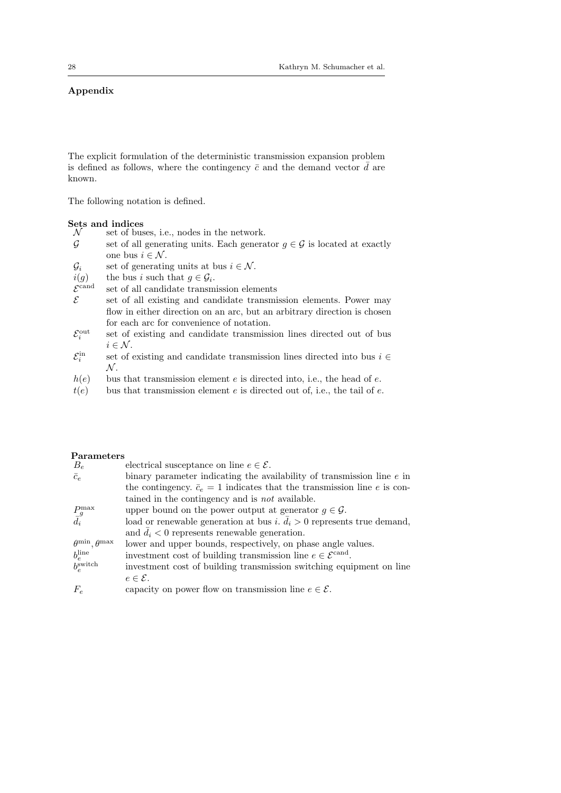# Appendix

The explicit formulation of the deterministic transmission expansion problem is defined as follows, where the contingency  $\bar{c}$  and the demand vector  $\bar{d}$  are known.

The following notation is defined.

# Sets and indices  $N$  set of bus

- set of buses, i.e., nodes in the network.
- $\mathcal G$  set of all generating units. Each generator  $g \in \mathcal G$  is located at exactly one bus *i* ∈  $N$ .
- $\mathcal{G}_i$  set of generating units at bus  $i \in \mathcal{N}$ .
- $i(g)$  the bus i such that  $g \in \mathcal{G}_i$ .
- $\widetilde{\mathcal E}^{\text{cand}}$ set of all candidate transmission elements
- $\mathcal E$  set of all existing and candidate transmission elements. Power may flow in either direction on an arc, but an arbitrary direction is chosen for each arc for convenience of notation.
- $\mathcal{E}_i^{\text{out}}$ set of existing and candidate transmission lines directed out of bus  $i \in \mathcal{N}$ .
- $\mathcal{E}_i^{\mathrm{in}}$ set of existing and candidate transmission lines directed into bus  $i \in$  $\mathcal{N}$ .
- $h(e)$  bus that transmission element e is directed into, i.e., the head of e.
- $t(e)$  bus that transmission element e is directed out of, i.e., the tail of e.

# Parameters

| electrical susceptance on line $e \in \mathcal{E}$ .                              |
|-----------------------------------------------------------------------------------|
| binary parameter indicating the availability of transmission line $e$ in          |
| the contingency. $\bar{c}_e = 1$ indicates that the transmission line e is con-   |
| tained in the contingency and is <i>not</i> available.                            |
| upper bound on the power output at generator $q \in \mathcal{G}$ .                |
| load or renewable generation at bus i. $\bar{d}_i > 0$ represents true demand,    |
| and $d_i < 0$ represents renewable generation.                                    |
| lower and upper bounds, respectively, on phase angle values.                      |
| investment cost of building transmission line $e \in \mathcal{E}^{\text{cand}}$ . |
| investment cost of building transmission switching equipment on line              |
| $e \in \mathcal{E}$ .                                                             |
| capacity on power flow on transmission line $e \in \mathcal{E}$ .                 |
|                                                                                   |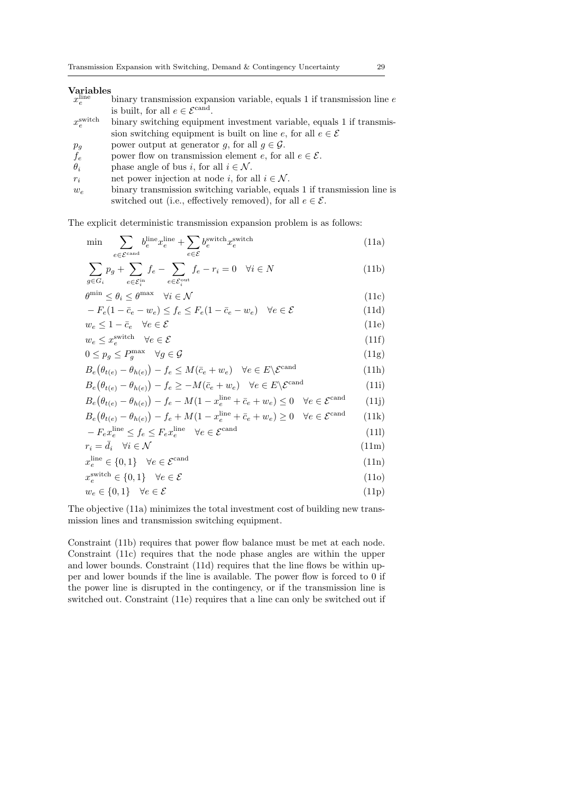| <b>Variables</b>      |                                                                             |
|-----------------------|-----------------------------------------------------------------------------|
| $x_e^{\text{line}}$   | binary transmission expansion variable, equals $1$ if transmission line $e$ |
|                       | is built, for all $e \in \mathcal{E}^{\text{cand}}$ .                       |
| $x_e^{\text{switch}}$ | binary switching equipment investment variable, equals 1 if transmis-       |
|                       | sion switching equipment is built on line e, for all $e \in \mathcal{E}$    |
| $p_g$                 | power output at generator g, for all $g \in \mathcal{G}$ .                  |
| $f_e$                 | power flow on transmission element e, for all $e \in \mathcal{E}$ .         |
| $\theta_i$            | phase angle of bus i, for all $i \in \mathcal{N}$ .                         |
| $r_i$                 | net power injection at node i, for all $i \in \mathcal{N}$ .                |
| $w_{e}$               | binary transmission switching variable, equals 1 if transmission line is    |

switched out (i.e., effectively removed), for all  $e \in \mathcal{E}$ .

The explicit deterministic transmission expansion problem is as follows:

$$
\min \quad \sum_{e \in \mathcal{E}^{\text{cand}}} b_e^{\text{line}} x_e^{\text{line}} + \sum_{e \in \mathcal{E}} b_e^{\text{switch}} x_e^{\text{switch}} \tag{11a}
$$

$$
\sum_{g \in G_i} p_g + \sum_{e \in \mathcal{E}_i^{\text{in}}} f_e - \sum_{e \in \mathcal{E}_i^{\text{out}}} f_e - r_i = 0 \quad \forall i \in N
$$
\n(11b)

$$
\theta^{\min} \le \theta_i \le \theta^{\max} \quad \forall i \in \mathcal{N} \tag{11c}
$$

$$
-F_e(1 - \bar{c}_e - w_e) \le f_e \le F_e(1 - \bar{c}_e - w_e) \quad \forall e \in \mathcal{E}
$$
\n(11d)

$$
w_e \le 1 - \bar{c}_e \quad \forall e \in \mathcal{E} \tag{11e}
$$

$$
w_e \le x_e^{\text{switch}} \quad \forall e \in \mathcal{E}
$$
  
\n
$$
0 \le p_g \le P_g^{\text{max}} \quad \forall g \in \mathcal{G}
$$
\n(11f)\n(11g)

$$
B_e(\theta_{t(e)} - \theta_{h(e)}) - f_e \le M(\bar{c}_e + w_e) \quad \forall e \in E \setminus \mathcal{E}^{\text{cand}} \tag{11h}
$$

$$
B_e(\theta_{t(e)} - \theta_{h(e)}) - f_e \ge -M(\bar{c}_e + w_e) \quad \forall e \in E \setminus \mathcal{E}^{\text{cand}} \tag{11}
$$

$$
B_e(\theta_{t(e)} - \theta_{h(e)}) - f_e - M(1 - x_e^{\text{line}} + \bar{c}_e + w_e) \le 0 \quad \forall e \in \mathcal{E}^{\text{cand}} \tag{11}
$$

$$
B_e(\theta_{t(e)} - \theta_{h(e)}) - f_e + M(1 - x_e^{\text{line}} + \bar{c}_e + w_e) \ge 0 \quad \forall e \in \mathcal{E}^{\text{cand}} \tag{11k}
$$

$$
-F_e x_e^{\text{line}} \le f_e \le F_e x_e^{\text{line}} \quad \forall e \in \mathcal{E}^{\text{cand}}
$$
  
\n
$$
r_i = \bar{d}_i \quad \forall i \in \mathcal{N}
$$
\n(11h)

$$
x_e^{\text{line}} \in \{0, 1\} \quad \forall e \in \mathcal{E}^{\text{cand}} \tag{11n}
$$

$$
x_{\varepsilon}^{\text{switch}} \in \{0, 1\} \quad \forall e \in \mathcal{E} \tag{11o}
$$

$$
w_e \in \{0, 1\} \quad \forall e \in \mathcal{E} \tag{11p}
$$

The objective (11a) minimizes the total investment cost of building new transmission lines and transmission switching equipment.

Constraint (11b) requires that power flow balance must be met at each node. Constraint (11c) requires that the node phase angles are within the upper and lower bounds. Constraint (11d) requires that the line flows be within upper and lower bounds if the line is available. The power flow is forced to 0 if the power line is disrupted in the contingency, or if the transmission line is switched out. Constraint (11e) requires that a line can only be switched out if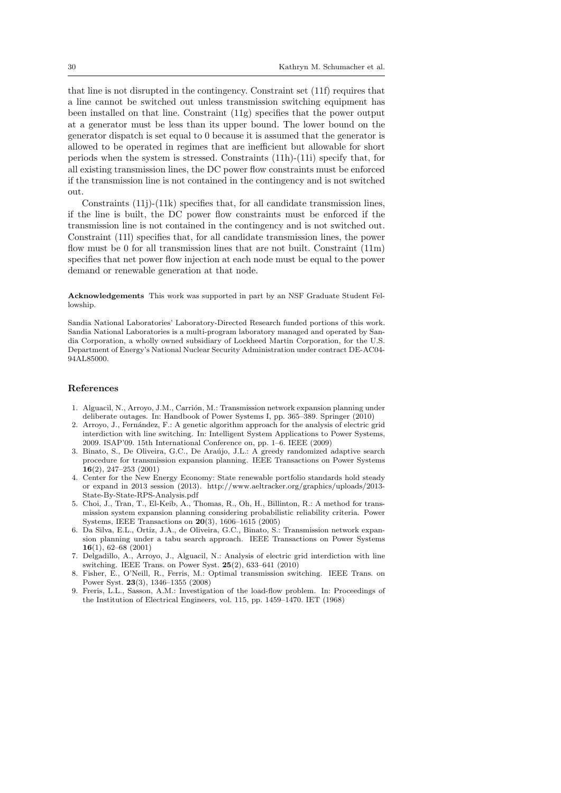that line is not disrupted in the contingency. Constraint set (11f) requires that a line cannot be switched out unless transmission switching equipment has been installed on that line. Constraint (11g) specifies that the power output at a generator must be less than its upper bound. The lower bound on the generator dispatch is set equal to 0 because it is assumed that the generator is allowed to be operated in regimes that are inefficient but allowable for short periods when the system is stressed. Constraints (11h)-(11i) specify that, for all existing transmission lines, the DC power flow constraints must be enforced if the transmission line is not contained in the contingency and is not switched out.

Constraints (11j)-(11k) specifies that, for all candidate transmission lines, if the line is built, the DC power flow constraints must be enforced if the transmission line is not contained in the contingency and is not switched out. Constraint (11l) specifies that, for all candidate transmission lines, the power flow must be 0 for all transmission lines that are not built. Constraint (11m) specifies that net power flow injection at each node must be equal to the power demand or renewable generation at that node.

Acknowledgements This work was supported in part by an NSF Graduate Student Fellowship.

Sandia National Laboratories' Laboratory-Directed Research funded portions of this work. Sandia National Laboratories is a multi-program laboratory managed and operated by Sandia Corporation, a wholly owned subsidiary of Lockheed Martin Corporation, for the U.S. Department of Energy's National Nuclear Security Administration under contract DE-AC04- 94AL85000.

# References

- 1. Alguacil, N., Arroyo, J.M., Carrión, M.: Transmission network expansion planning under deliberate outages. In: Handbook of Power Systems I, pp. 365–389. Springer (2010)
- 2. Arroyo, J., Fernández, F.: A genetic algorithm approach for the analysis of electric grid interdiction with line switching. In: Intelligent System Applications to Power Systems, 2009. ISAP'09. 15th International Conference on, pp. 1–6. IEEE (2009)
- 3. Binato, S., De Oliveira, G.C., De Araújo, J.L.: A greedy randomized adaptive search procedure for transmission expansion planning. IEEE Transactions on Power Systems 16(2), 247–253 (2001)
- 4. Center for the New Energy Economy: State renewable portfolio standards hold steady or expand in 2013 session (2013). http://www.aeltracker.org/graphics/uploads/2013- State-By-State-RPS-Analysis.pdf
- 5. Choi, J., Tran, T., El-Keib, A., Thomas, R., Oh, H., Billinton, R.: A method for transmission system expansion planning considering probabilistic reliability criteria. Power Systems, IEEE Transactions on 20(3), 1606–1615 (2005)
- 6. Da Silva, E.L., Ortiz, J.A., de Oliveira, G.C., Binato, S.: Transmission network expansion planning under a tabu search approach. IEEE Transactions on Power Systems 16(1), 62–68 (2001)
- 7. Delgadillo, A., Arroyo, J., Alguacil, N.: Analysis of electric grid interdiction with line switching. IEEE Trans. on Power Syst. 25(2), 633–641 (2010)
- 8. Fisher, E., O'Neill, R., Ferris, M.: Optimal transmission switching. IEEE Trans. on Power Syst. 23(3), 1346–1355 (2008)
- 9. Freris, L.L., Sasson, A.M.: Investigation of the load-flow problem. In: Proceedings of the Institution of Electrical Engineers, vol. 115, pp. 1459–1470. IET (1968)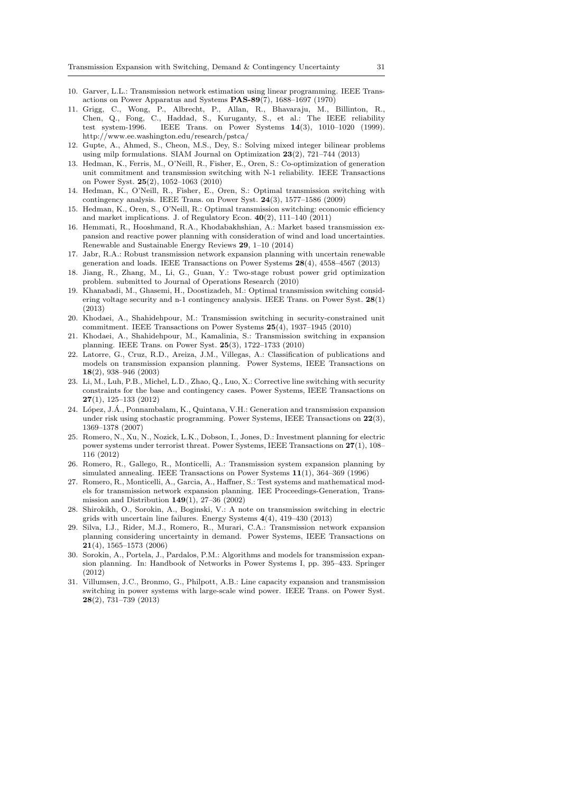- 10. Garver, L.L.: Transmission network estimation using linear programming. IEEE Transactions on Power Apparatus and Systems PAS-89(7), 1688–1697 (1970)
- 11. Grigg, C., Wong, P., Albrecht, P., Allan, R., Bhavaraju, M., Billinton, R., Chen, Q., Fong, C., Haddad, S., Kuruganty, S., et al.: The IEEE reliability test system-1996. IEEE Trans. on Power Systems 14(3), 1010–1020 (1999). http://www.ee.washington.edu/research/pstca/
- 12. Gupte, A., Ahmed, S., Cheon, M.S., Dey, S.: Solving mixed integer bilinear problems using milp formulations. SIAM Journal on Optimization 23(2), 721–744 (2013)
- 13. Hedman, K., Ferris, M., O'Neill, R., Fisher, E., Oren, S.: Co-optimization of generation unit commitment and transmission switching with N-1 reliability. IEEE Transactions on Power Syst. 25(2), 1052–1063 (2010)
- 14. Hedman, K., O'Neill, R., Fisher, E., Oren, S.: Optimal transmission switching with contingency analysis. IEEE Trans. on Power Syst. 24(3), 1577–1586 (2009)
- 15. Hedman, K., Oren, S., O'Neill, R.: Optimal transmission switching: economic efficiency and market implications. J. of Regulatory Econ.  $40(2)$ , 111–140 (2011)
- 16. Hemmati, R., Hooshmand, R.A., Khodabakhshian, A.: Market based transmission expansion and reactive power planning with consideration of wind and load uncertainties. Renewable and Sustainable Energy Reviews 29, 1–10 (2014)
- 17. Jabr, R.A.: Robust transmission network expansion planning with uncertain renewable generation and loads. IEEE Transactions on Power Systems 28(4), 4558–4567 (2013)
- 18. Jiang, R., Zhang, M., Li, G., Guan, Y.: Two-stage robust power grid optimization problem. submitted to Journal of Operations Research (2010)
- 19. Khanabadi, M., Ghasemi, H., Doostizadeh, M.: Optimal transmission switching considering voltage security and n-1 contingency analysis. IEEE Trans. on Power Syst. 28(1) (2013)
- 20. Khodaei, A., Shahidehpour, M.: Transmission switching in security-constrained unit commitment. IEEE Transactions on Power Systems 25(4), 1937–1945 (2010)
- 21. Khodaei, A., Shahidehpour, M., Kamalinia, S.: Transmission switching in expansion planning. IEEE Trans. on Power Syst. 25(3), 1722–1733 (2010)
- 22. Latorre, G., Cruz, R.D., Areiza, J.M., Villegas, A.: Classification of publications and models on transmission expansion planning. Power Systems, IEEE Transactions on 18(2), 938–946 (2003)
- 23. Li, M., Luh, P.B., Michel, L.D., Zhao, Q., Luo, X.: Corrective line switching with security constraints for the base and contingency cases. Power Systems, IEEE Transactions on 27(1), 125–133 (2012)
- 24. López, J.Á., Ponnambalam, K., Quintana, V.H.: Generation and transmission expansion under risk using stochastic programming. Power Systems, IEEE Transactions on 22(3), 1369–1378 (2007)
- 25. Romero, N., Xu, N., Nozick, L.K., Dobson, I., Jones, D.: Investment planning for electric power systems under terrorist threat. Power Systems, IEEE Transactions on 27(1), 108– 116 (2012)
- 26. Romero, R., Gallego, R., Monticelli, A.: Transmission system expansion planning by simulated annealing. IEEE Transactions on Power Systems 11(1), 364–369 (1996)
- 27. Romero, R., Monticelli, A., Garcia, A., Haffner, S.: Test systems and mathematical models for transmission network expansion planning. IEE Proceedings-Generation, Transmission and Distribution  $149(1)$ ,  $27-36$   $(2002)$
- 28. Shirokikh, O., Sorokin, A., Boginski, V.: A note on transmission switching in electric grids with uncertain line failures. Energy Systems 4(4), 419–430 (2013)
- 29. Silva, I.J., Rider, M.J., Romero, R., Murari, C.A.: Transmission network expansion planning considering uncertainty in demand. Power Systems, IEEE Transactions on 21(4), 1565–1573 (2006)
- 30. Sorokin, A., Portela, J., Pardalos, P.M.: Algorithms and models for transmission expansion planning. In: Handbook of Networks in Power Systems I, pp. 395–433. Springer (2012)
- 31. Villumsen, J.C., Bronmo, G., Philpott, A.B.: Line capacity expansion and transmission switching in power systems with large-scale wind power. IEEE Trans. on Power Syst. 28(2), 731–739 (2013)